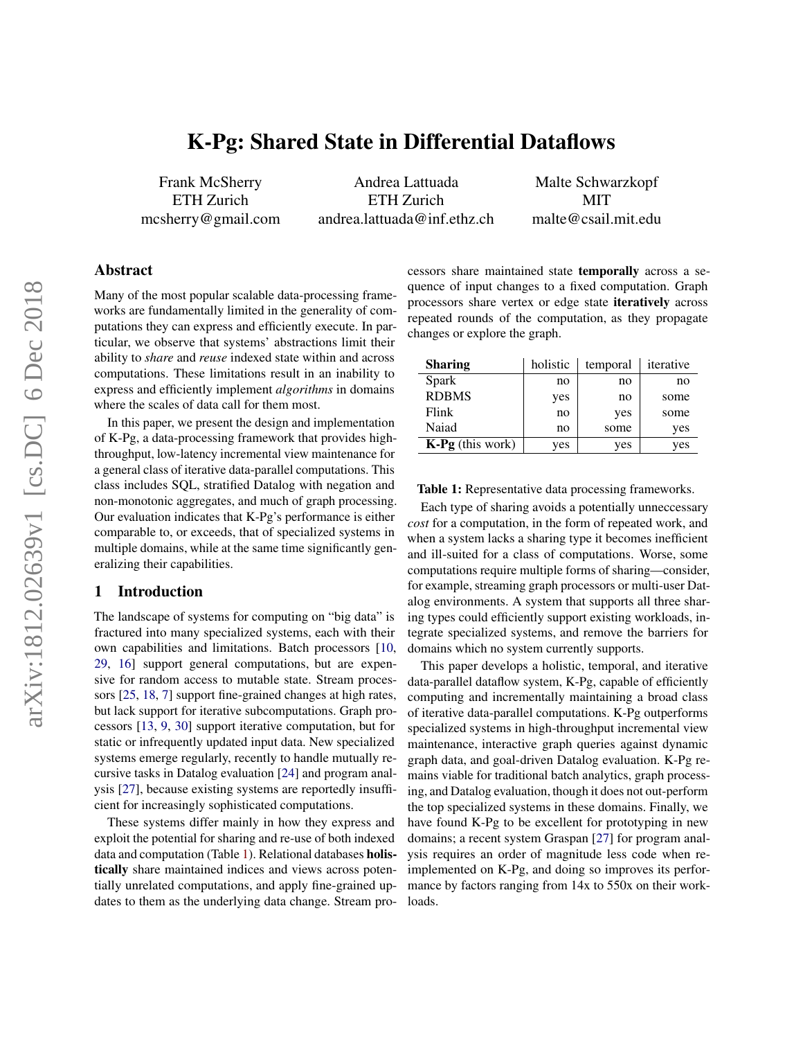# K-Pg: Shared State in Differential Dataflows

Frank McSherry ETH Zurich mcsherry@gmail.com

Andrea Lattuada ETH Zurich andrea.lattuada@inf.ethz.ch

Malte Schwarzkopf MIT malte@csail.mit.edu

# Abstract

Many of the most popular scalable data-processing frameworks are fundamentally limited in the generality of computations they can express and efficiently execute. In particular, we observe that systems' abstractions limit their ability to *share* and *reuse* indexed state within and across computations. These limitations result in an inability to express and efficiently implement *algorithms* in domains where the scales of data call for them most.

In this paper, we present the design and implementation of K-Pg, a data-processing framework that provides highthroughput, low-latency incremental view maintenance for a general class of iterative data-parallel computations. This class includes SQL, stratified Datalog with negation and non-monotonic aggregates, and much of graph processing. Our evaluation indicates that K-Pg's performance is either comparable to, or exceeds, that of specialized systems in multiple domains, while at the same time significantly generalizing their capabilities.

# 1 Introduction

The landscape of systems for computing on "big data" is fractured into many specialized systems, each with their own capabilities and limitations. Batch processors [\[10,](#page-14-0) [29,](#page-16-0) [16\]](#page-15-0) support general computations, but are expensive for random access to mutable state. Stream processors [\[25,](#page-15-1) [18,](#page-15-2) [7\]](#page-14-1) support fine-grained changes at high rates, but lack support for iterative subcomputations. Graph processors [\[13,](#page-14-2) [9,](#page-14-3) [30\]](#page-16-1) support iterative computation, but for static or infrequently updated input data. New specialized systems emerge regularly, recently to handle mutually recursive tasks in Datalog evaluation [\[24\]](#page-15-3) and program analysis [\[27\]](#page-15-4), because existing systems are reportedly insufficient for increasingly sophisticated computations.

These systems differ mainly in how they express and exploit the potential for sharing and re-use of both indexed data and computation (Table [1\)](#page-0-0). Relational databases holistically share maintained indices and views across potentially unrelated computations, and apply fine-grained updates to them as the underlying data change. Stream processors share maintained state temporally across a sequence of input changes to a fixed computation. Graph processors share vertex or edge state iteratively across repeated rounds of the computation, as they propagate changes or explore the graph.

<span id="page-0-0"></span>

| <b>Sharing</b>     | holistic | temporal | iterative |
|--------------------|----------|----------|-----------|
| Spark              | no       | no       | no        |
| <b>RDBMS</b>       | yes      | no       | some      |
| Flink              | no       | yes      | some      |
| Naiad              | no       | some     | yes       |
| $K-Pg$ (this work) | yes      | yes      | yes       |

Table 1: Representative data processing frameworks.

Each type of sharing avoids a potentially unneccessary *cost* for a computation, in the form of repeated work, and when a system lacks a sharing type it becomes inefficient and ill-suited for a class of computations. Worse, some computations require multiple forms of sharing—consider, for example, streaming graph processors or multi-user Datalog environments. A system that supports all three sharing types could efficiently support existing workloads, integrate specialized systems, and remove the barriers for domains which no system currently supports.

This paper develops a holistic, temporal, and iterative data-parallel dataflow system, K-Pg, capable of efficiently computing and incrementally maintaining a broad class of iterative data-parallel computations. K-Pg outperforms specialized systems in high-throughput incremental view maintenance, interactive graph queries against dynamic graph data, and goal-driven Datalog evaluation. K-Pg remains viable for traditional batch analytics, graph processing, and Datalog evaluation, though it does not out-perform the top specialized systems in these domains. Finally, we have found K-Pg to be excellent for prototyping in new domains; a recent system Graspan [\[27\]](#page-15-4) for program analysis requires an order of magnitude less code when reimplemented on K-Pg, and doing so improves its performance by factors ranging from 14x to 550x on their workloads.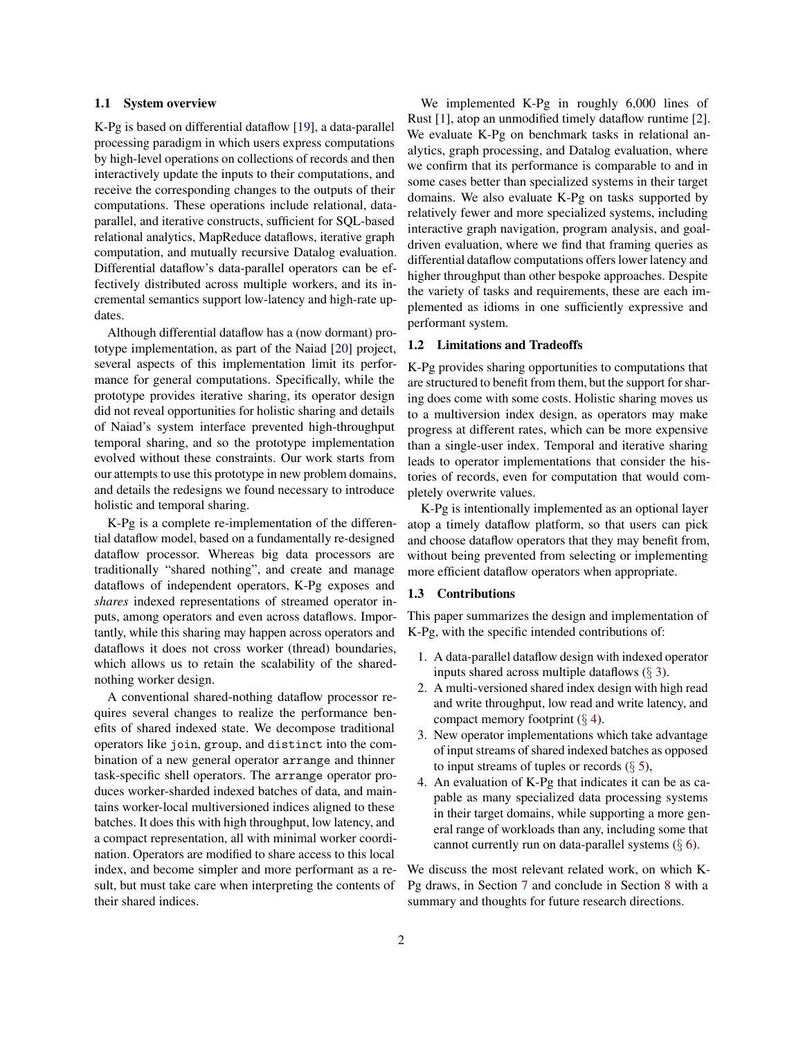#### 1.1 System overview

K-Pg is based on differential dataflow [\[19\]](#page-15-5), a data-parallel processing paradigm in which users express computations by high-level operations on collections of records and then interactively update the inputs to their computations, and receive the corresponding changes to the outputs of their computations. These operations include relational, dataparallel, and iterative constructs, sufficient for SQL-based relational analytics, MapReduce dataflows, iterative graph computation, and mutually recursive Datalog evaluation. Differential dataflow's data-parallel operators can be effectively distributed across multiple workers, and its incremental semantics support low-latency and high-rate updates.

Although differential dataflow has a (now dormant) prototype implementation, as part of the Naiad [\[20\]](#page-15-6) project, several aspects of this implementation limit its performance for general computations. Specifically, while the prototype provides iterative sharing, its operator design did not reveal opportunities for holistic sharing and details of Naiad's system interface prevented high-throughput temporal sharing, and so the prototype implementation evolved without these constraints. Our work starts from our attempts to use this prototype in new problem domains, and details the redesigns we found necessary to introduce holistic and temporal sharing.

K-Pg is a complete re-implementation of the differential dataflow model, based on a fundamentally re-designed dataflow processor. Whereas big data processors are traditionally "shared nothing", and create and manage dataflows of independent operators, K-Pg exposes and *shares* indexed representations of streamed operator inputs, among operators and even across dataflows. Importantly, while this sharing may happen across operators and dataflows it does not cross worker (thread) boundaries, which allows us to retain the scalability of the sharednothing worker design.

A conventional shared-nothing dataflow processor requires several changes to realize the performance benefits of shared indexed state. We decompose traditional operators like join, group, and distinct into the combination of a new general operator arrange and thinner task-specific shell operators. The arrange operator produces worker-sharded indexed batches of data, and maintains worker-local multiversioned indices aligned to these batches. It does this with high throughput, low latency, and a compact representation, all with minimal worker coordination. Operators are modified to share access to this local index, and become simpler and more performant as a result, but must take care when interpreting the contents of their shared indices.

We implemented K-Pg in roughly 6,000 lines of Rust [\[1\]](#page-14-4), atop an unmodified timely dataflow runtime [\[2\]](#page-14-5). We evaluate K-Pg on benchmark tasks in relational analytics, graph processing, and Datalog evaluation, where we confirm that its performance is comparable to and in some cases better than specialized systems in their target domains. We also evaluate K-Pg on tasks supported by relatively fewer and more specialized systems, including interactive graph navigation, program analysis, and goaldriven evaluation, where we find that framing queries as differential dataflow computations offers lower latency and higher throughput than other bespoke approaches. Despite the variety of tasks and requirements, these are each implemented as idioms in one sufficiently expressive and performant system.

#### 1.2 Limitations and Tradeoffs

K-Pg provides sharing opportunities to computations that are structured to benefit from them, but the support for sharing does come with some costs. Holistic sharing moves us to a multiversion index design, as operators may make progress at different rates, which can be more expensive than a single-user index. Temporal and iterative sharing leads to operator implementations that consider the histories of records, even for computation that would completely overwrite values.

K-Pg is intentionally implemented as an optional layer atop a timely dataflow platform, so that users can pick and choose dataflow operators that they may benefit from, without being prevented from selecting or implementing more efficient dataflow operators when appropriate.

## 1.3 Contributions

This paper summarizes the design and implementation of K-Pg, with the specific intended contributions of:

- 1. A data-parallel dataflow design with indexed operator inputs shared across multiple dataflows  $(\S 3)$  $(\S 3)$ .
- 2. A multi-versioned shared index design with high read and write throughput, low read and write latency, and compact memory footprint  $(\S 4)$  $(\S 4)$ .
- 3. New operator implementations which take advantage of input streams of shared indexed batches as opposed to input streams of tuples or records  $(\S 5)$  $(\S 5)$ ,
- 4. An evaluation of K-Pg that indicates it can be as capable as many specialized data processing systems in their target domains, while supporting a more general range of workloads than any, including some that cannot currently run on data-parallel systems  $(\S 6)$  $(\S 6)$ .

We discuss the most relevant related work, on which K-Pg draws, in Section [7](#page-12-0) and conclude in Section [8](#page-14-6) with a summary and thoughts for future research directions.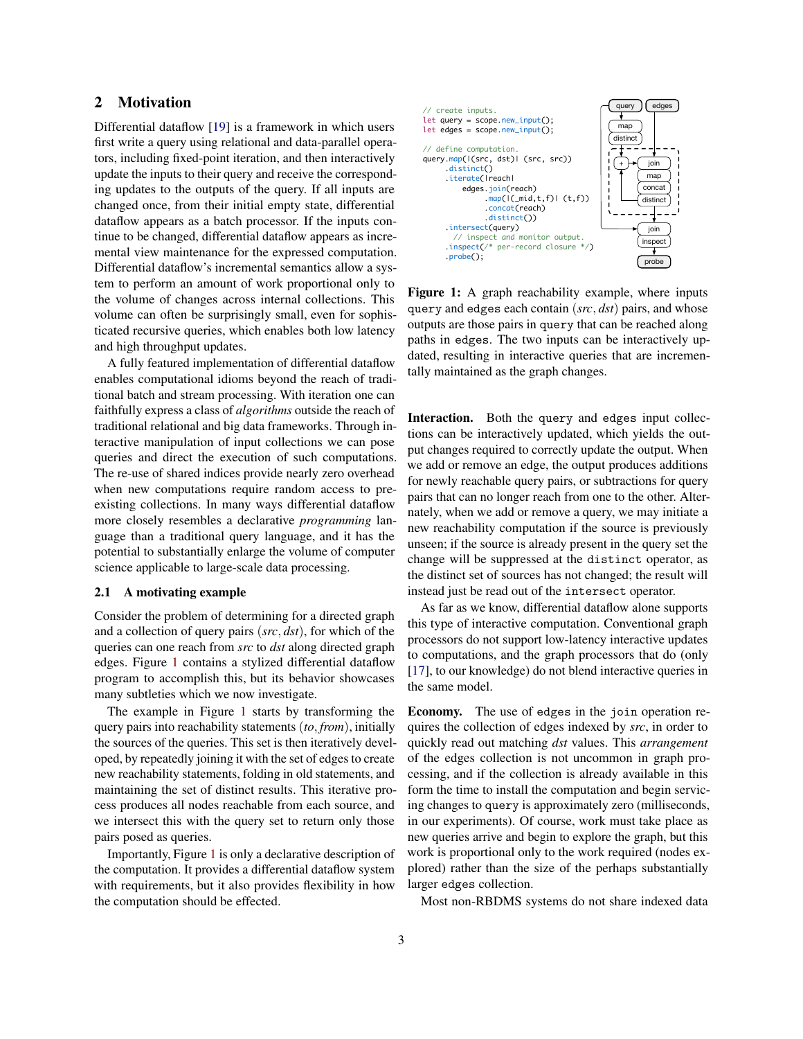# 2 Motivation

Differential dataflow [\[19\]](#page-15-5) is a framework in which users first write a query using relational and data-parallel operators, including fixed-point iteration, and then interactively update the inputs to their query and receive the corresponding updates to the outputs of the query. If all inputs are changed once, from their initial empty state, differential dataflow appears as a batch processor. If the inputs continue to be changed, differential dataflow appears as incremental view maintenance for the expressed computation. Differential dataflow's incremental semantics allow a system to perform an amount of work proportional only to the volume of changes across internal collections. This volume can often be surprisingly small, even for sophisticated recursive queries, which enables both low latency and high throughput updates.

A fully featured implementation of differential dataflow enables computational idioms beyond the reach of traditional batch and stream processing. With iteration one can faithfully express a class of *algorithms* outside the reach of traditional relational and big data frameworks. Through interactive manipulation of input collections we can pose queries and direct the execution of such computations. The re-use of shared indices provide nearly zero overhead when new computations require random access to preexisting collections. In many ways differential dataflow more closely resembles a declarative *programming* language than a traditional query language, and it has the potential to substantially enlarge the volume of computer science applicable to large-scale data processing.

## 2.1 A motivating example

Consider the problem of determining for a directed graph and a collection of query pairs (*src*, *dst*), for which of the queries can one reach from *src* to *dst* along directed graph edges. Figure [1](#page-2-0) contains a stylized differential dataflow program to accomplish this, but its behavior showcases many subtleties which we now investigate.

The example in Figure [1](#page-2-0) starts by transforming the query pairs into reachability statements (*to*, *from*), initially the sources of the queries. This set is then iteratively developed, by repeatedly joining it with the set of edges to create new reachability statements, folding in old statements, and maintaining the set of distinct results. This iterative process produces all nodes reachable from each source, and we intersect this with the query set to return only those pairs posed as queries.

Importantly, Figure [1](#page-2-0) is only a declarative description of the computation. It provides a differential dataflow system with requirements, but it also provides flexibility in how the computation should be effected.

<span id="page-2-0"></span>

Figure 1: A graph reachability example, where inputs query and edges each contain (*src*, *dst*) pairs, and whose outputs are those pairs in query that can be reached along paths in edges. The two inputs can be interactively updated, resulting in interactive queries that are incrementally maintained as the graph changes.

Interaction. Both the query and edges input collections can be interactively updated, which yields the output changes required to correctly update the output. When we add or remove an edge, the output produces additions for newly reachable query pairs, or subtractions for query pairs that can no longer reach from one to the other. Alternately, when we add or remove a query, we may initiate a new reachability computation if the source is previously unseen; if the source is already present in the query set the change will be suppressed at the distinct operator, as the distinct set of sources has not changed; the result will instead just be read out of the intersect operator.

As far as we know, differential dataflow alone supports this type of interactive computation. Conventional graph processors do not support low-latency interactive updates to computations, and the graph processors that do (only [\[17\]](#page-15-7), to our knowledge) do not blend interactive queries in the same model.

Economy. The use of edges in the join operation requires the collection of edges indexed by *src*, in order to quickly read out matching *dst* values. This *arrangement* of the edges collection is not uncommon in graph processing, and if the collection is already available in this form the time to install the computation and begin servicing changes to query is approximately zero (milliseconds, in our experiments). Of course, work must take place as new queries arrive and begin to explore the graph, but this work is proportional only to the work required (nodes explored) rather than the size of the perhaps substantially larger edges collection.

Most non-RBDMS systems do not share indexed data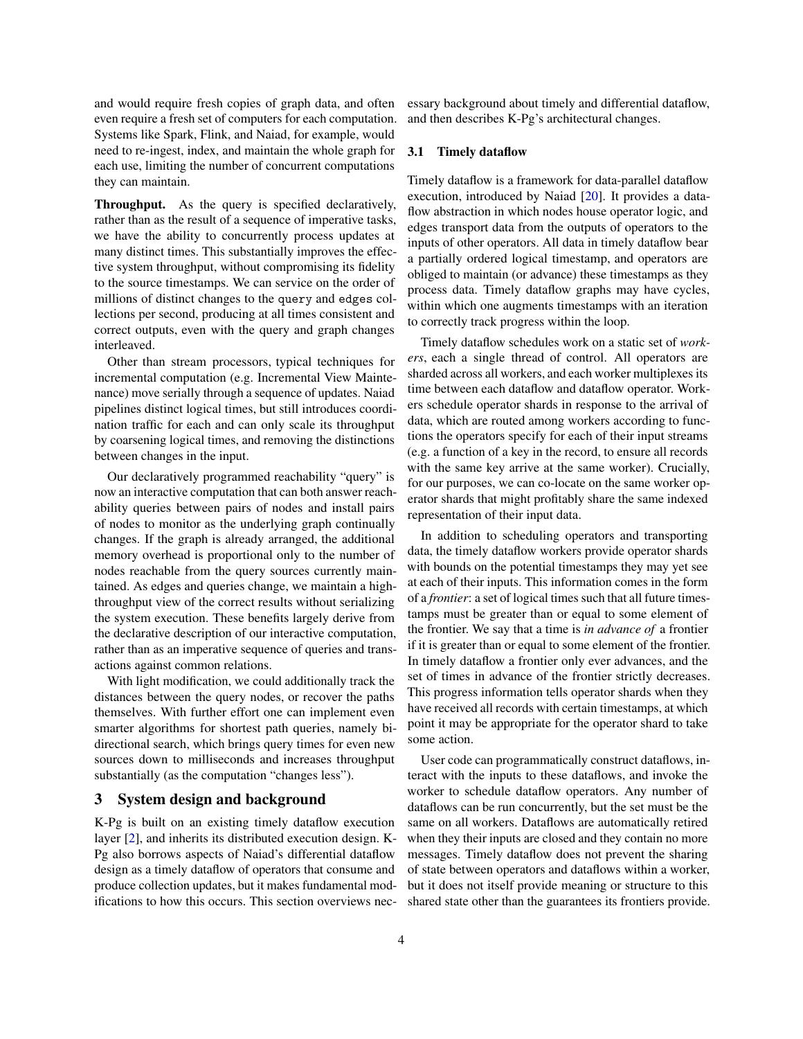and would require fresh copies of graph data, and often even require a fresh set of computers for each computation. Systems like Spark, Flink, and Naiad, for example, would need to re-ingest, index, and maintain the whole graph for each use, limiting the number of concurrent computations they can maintain.

Throughput. As the query is specified declaratively, rather than as the result of a sequence of imperative tasks, we have the ability to concurrently process updates at many distinct times. This substantially improves the effective system throughput, without compromising its fidelity to the source timestamps. We can service on the order of millions of distinct changes to the query and edges collections per second, producing at all times consistent and correct outputs, even with the query and graph changes interleaved.

Other than stream processors, typical techniques for incremental computation (e.g. Incremental View Maintenance) move serially through a sequence of updates. Naiad pipelines distinct logical times, but still introduces coordination traffic for each and can only scale its throughput by coarsening logical times, and removing the distinctions between changes in the input.

Our declaratively programmed reachability "query" is now an interactive computation that can both answer reachability queries between pairs of nodes and install pairs of nodes to monitor as the underlying graph continually changes. If the graph is already arranged, the additional memory overhead is proportional only to the number of nodes reachable from the query sources currently maintained. As edges and queries change, we maintain a highthroughput view of the correct results without serializing the system execution. These benefits largely derive from the declarative description of our interactive computation, rather than as an imperative sequence of queries and transactions against common relations.

With light modification, we could additionally track the distances between the query nodes, or recover the paths themselves. With further effort one can implement even smarter algorithms for shortest path queries, namely bidirectional search, which brings query times for even new sources down to milliseconds and increases throughput substantially (as the computation "changes less").

## <span id="page-3-0"></span>3 System design and background

K-Pg is built on an existing timely dataflow execution layer [\[2\]](#page-14-5), and inherits its distributed execution design. K-Pg also borrows aspects of Naiad's differential dataflow design as a timely dataflow of operators that consume and produce collection updates, but it makes fundamental modifications to how this occurs. This section overviews necessary background about timely and differential dataflow, and then describes K-Pg's architectural changes.

## 3.1 Timely dataflow

Timely dataflow is a framework for data-parallel dataflow execution, introduced by Naiad [\[20\]](#page-15-6). It provides a dataflow abstraction in which nodes house operator logic, and edges transport data from the outputs of operators to the inputs of other operators. All data in timely dataflow bear a partially ordered logical timestamp, and operators are obliged to maintain (or advance) these timestamps as they process data. Timely dataflow graphs may have cycles, within which one augments timestamps with an iteration to correctly track progress within the loop.

Timely dataflow schedules work on a static set of *workers*, each a single thread of control. All operators are sharded across all workers, and each worker multiplexes its time between each dataflow and dataflow operator. Workers schedule operator shards in response to the arrival of data, which are routed among workers according to functions the operators specify for each of their input streams (e.g. a function of a key in the record, to ensure all records with the same key arrive at the same worker). Crucially, for our purposes, we can co-locate on the same worker operator shards that might profitably share the same indexed representation of their input data.

In addition to scheduling operators and transporting data, the timely dataflow workers provide operator shards with bounds on the potential timestamps they may yet see at each of their inputs. This information comes in the form of a *frontier*: a set of logical times such that all future timestamps must be greater than or equal to some element of the frontier. We say that a time is *in advance of* a frontier if it is greater than or equal to some element of the frontier. In timely dataflow a frontier only ever advances, and the set of times in advance of the frontier strictly decreases. This progress information tells operator shards when they have received all records with certain timestamps, at which point it may be appropriate for the operator shard to take some action.

User code can programmatically construct dataflows, interact with the inputs to these dataflows, and invoke the worker to schedule dataflow operators. Any number of dataflows can be run concurrently, but the set must be the same on all workers. Dataflows are automatically retired when they their inputs are closed and they contain no more messages. Timely dataflow does not prevent the sharing of state between operators and dataflows within a worker, but it does not itself provide meaning or structure to this shared state other than the guarantees its frontiers provide.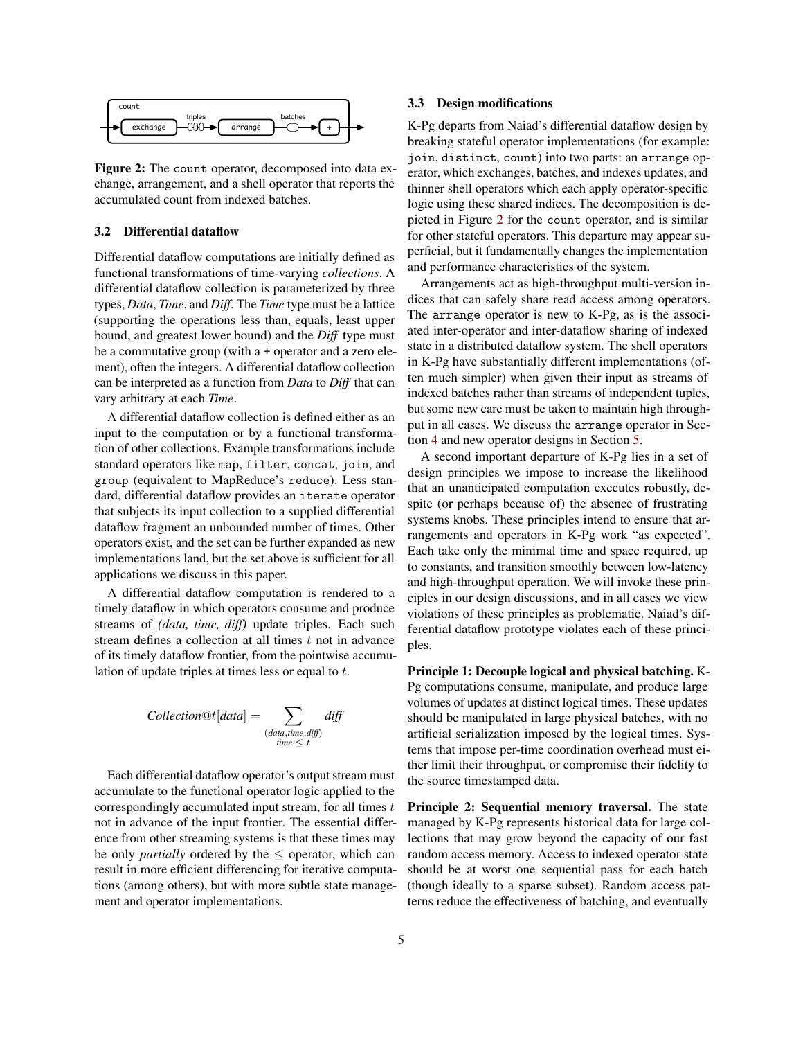<span id="page-4-0"></span>

Figure 2: The count operator, decomposed into data exchange, arrangement, and a shell operator that reports the accumulated count from indexed batches.

#### 3.2 Differential dataflow

Differential dataflow computations are initially defined as functional transformations of time-varying *collections*. A differential dataflow collection is parameterized by three types, *Data*, *Time*, and *Diff*. The *Time* type must be a lattice (supporting the operations less than, equals, least upper bound, and greatest lower bound) and the *Diff* type must be a commutative group (with a + operator and a zero element), often the integers. A differential dataflow collection can be interpreted as a function from *Data* to *Diff* that can vary arbitrary at each *Time*.

A differential dataflow collection is defined either as an input to the computation or by a functional transformation of other collections. Example transformations include standard operators like map, filter, concat, join, and group (equivalent to MapReduce's reduce). Less standard, differential dataflow provides an iterate operator that subjects its input collection to a supplied differential dataflow fragment an unbounded number of times. Other operators exist, and the set can be further expanded as new implementations land, but the set above is sufficient for all applications we discuss in this paper.

A differential dataflow computation is rendered to a timely dataflow in which operators consume and produce streams of *(data, time, diff)* update triples. Each such stream defines a collection at all times  $t$  not in advance of its timely dataflow frontier, from the pointwise accumulation of update triples at times less or equal to t.

$$
Collection@t[data] = \sum_{\substack{(data, time, diff) \\ time \leq t}} diff
$$

Each differential dataflow operator's output stream must accumulate to the functional operator logic applied to the correspondingly accumulated input stream, for all times  $t$ not in advance of the input frontier. The essential difference from other streaming systems is that these times may be only *partially* ordered by the  $\leq$  operator, which can result in more efficient differencing for iterative computations (among others), but with more subtle state management and operator implementations.

#### 3.3 Design modifications

K-Pg departs from Naiad's differential dataflow design by breaking stateful operator implementations (for example: join, distinct, count) into two parts: an arrange operator, which exchanges, batches, and indexes updates, and thinner shell operators which each apply operator-specific logic using these shared indices. The decomposition is depicted in Figure [2](#page-4-0) for the count operator, and is similar for other stateful operators. This departure may appear superficial, but it fundamentally changes the implementation and performance characteristics of the system.

Arrangements act as high-throughput multi-version indices that can safely share read access among operators. The arrange operator is new to K-Pg, as is the associated inter-operator and inter-dataflow sharing of indexed state in a distributed dataflow system. The shell operators in K-Pg have substantially different implementations (often much simpler) when given their input as streams of indexed batches rather than streams of independent tuples, but some new care must be taken to maintain high throughput in all cases. We discuss the arrange operator in Section [4](#page-5-0) and new operator designs in Section [5.](#page-7-0)

A second important departure of K-Pg lies in a set of design principles we impose to increase the likelihood that an unanticipated computation executes robustly, despite (or perhaps because of) the absence of frustrating systems knobs. These principles intend to ensure that arrangements and operators in K-Pg work "as expected". Each take only the minimal time and space required, up to constants, and transition smoothly between low-latency and high-throughput operation. We will invoke these principles in our design discussions, and in all cases we view violations of these principles as problematic. Naiad's differential dataflow prototype violates each of these principles.

Principle 1: Decouple logical and physical batching. K-Pg computations consume, manipulate, and produce large volumes of updates at distinct logical times. These updates should be manipulated in large physical batches, with no artificial serialization imposed by the logical times. Systems that impose per-time coordination overhead must either limit their throughput, or compromise their fidelity to the source timestamped data.

Principle 2: Sequential memory traversal. The state managed by K-Pg represents historical data for large collections that may grow beyond the capacity of our fast random access memory. Access to indexed operator state should be at worst one sequential pass for each batch (though ideally to a sparse subset). Random access patterns reduce the effectiveness of batching, and eventually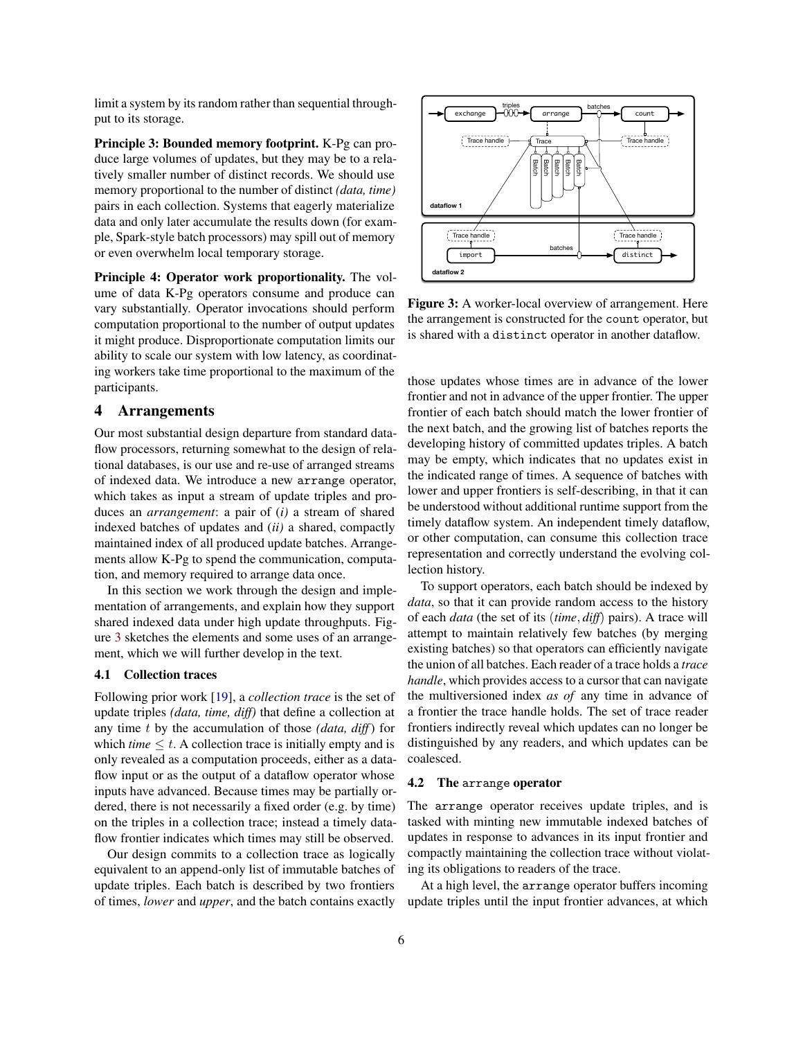limit a system by its random rather than sequential throughput to its storage.

Principle 3: Bounded memory footprint. K-Pg can produce large volumes of updates, but they may be to a relatively smaller number of distinct records. We should use memory proportional to the number of distinct *(data, time)* pairs in each collection. Systems that eagerly materialize data and only later accumulate the results down (for example, Spark-style batch processors) may spill out of memory or even overwhelm local temporary storage.

Principle 4: Operator work proportionality. The volume of data K-Pg operators consume and produce can vary substantially. Operator invocations should perform computation proportional to the number of output updates it might produce. Disproportionate computation limits our ability to scale our system with low latency, as coordinating workers take time proportional to the maximum of the participants.

## <span id="page-5-0"></span>4 Arrangements

Our most substantial design departure from standard dataflow processors, returning somewhat to the design of relational databases, is our use and re-use of arranged streams of indexed data. We introduce a new arrange operator, which takes as input a stream of update triples and produces an *arrangement*: a pair of (*i)* a stream of shared indexed batches of updates and (*ii)* a shared, compactly maintained index of all produced update batches. Arrangements allow K-Pg to spend the communication, computation, and memory required to arrange data once.

In this section we work through the design and implementation of arrangements, and explain how they support shared indexed data under high update throughputs. Figure [3](#page-5-1) sketches the elements and some uses of an arrangement, which we will further develop in the text.

## 4.1 Collection traces

Following prior work [\[19\]](#page-15-5), a *collection trace* is the set of update triples *(data, time, diff)* that define a collection at any time t by the accumulation of those *(data, diff*) for which *time*  $\leq t$ . A collection trace is initially empty and is only revealed as a computation proceeds, either as a dataflow input or as the output of a dataflow operator whose inputs have advanced. Because times may be partially ordered, there is not necessarily a fixed order (e.g. by time) on the triples in a collection trace; instead a timely dataflow frontier indicates which times may still be observed.

Our design commits to a collection trace as logically equivalent to an append-only list of immutable batches of update triples. Each batch is described by two frontiers of times, *lower* and *upper*, and the batch contains exactly

<span id="page-5-1"></span>

Figure 3: A worker-local overview of arrangement. Here the arrangement is constructed for the count operator, but is shared with a distinct operator in another dataflow.

those updates whose times are in advance of the lower frontier and not in advance of the upper frontier. The upper frontier of each batch should match the lower frontier of the next batch, and the growing list of batches reports the developing history of committed updates triples. A batch may be empty, which indicates that no updates exist in the indicated range of times. A sequence of batches with lower and upper frontiers is self-describing, in that it can be understood without additional runtime support from the timely dataflow system. An independent timely dataflow, or other computation, can consume this collection trace representation and correctly understand the evolving collection history.

To support operators, each batch should be indexed by *data*, so that it can provide random access to the history of each *data* (the set of its (*time*, *diff*) pairs). A trace will attempt to maintain relatively few batches (by merging existing batches) so that operators can efficiently navigate the union of all batches. Each reader of a trace holds a *trace handle*, which provides access to a cursor that can navigate the multiversioned index *as of* any time in advance of a frontier the trace handle holds. The set of trace reader frontiers indirectly reveal which updates can no longer be distinguished by any readers, and which updates can be coalesced.

#### 4.2 The arrange operator

The arrange operator receives update triples, and is tasked with minting new immutable indexed batches of updates in response to advances in its input frontier and compactly maintaining the collection trace without violating its obligations to readers of the trace.

At a high level, the arrange operator buffers incoming update triples until the input frontier advances, at which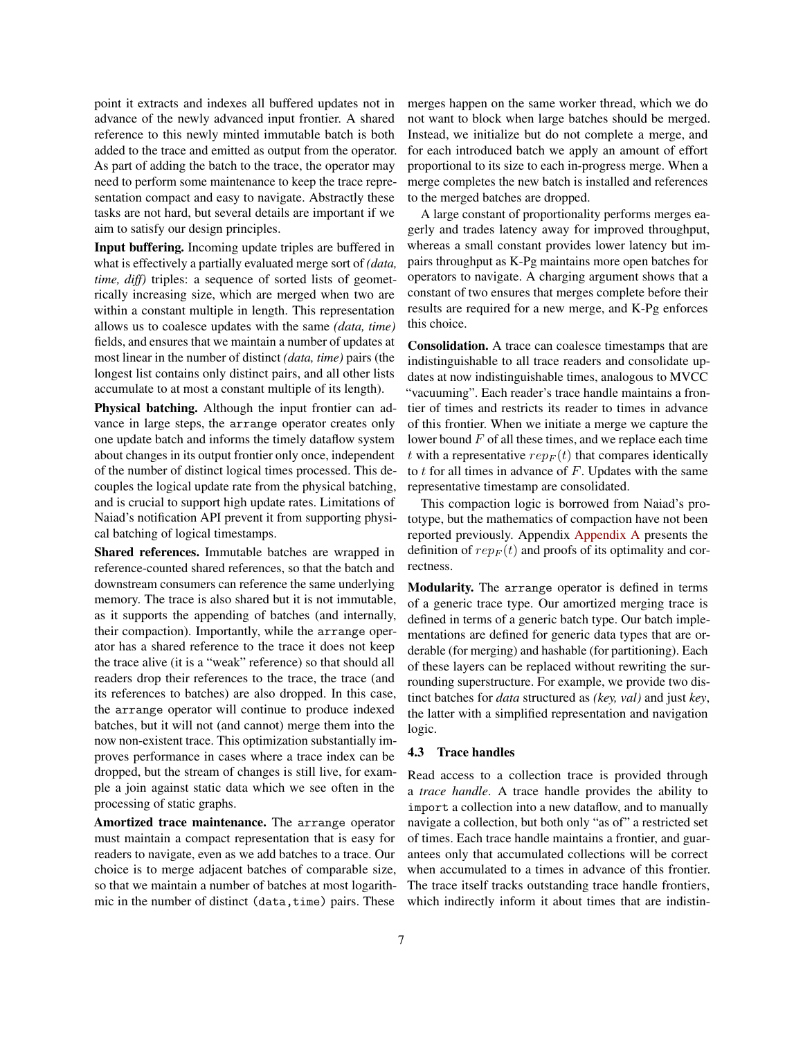point it extracts and indexes all buffered updates not in advance of the newly advanced input frontier. A shared reference to this newly minted immutable batch is both added to the trace and emitted as output from the operator. As part of adding the batch to the trace, the operator may need to perform some maintenance to keep the trace representation compact and easy to navigate. Abstractly these tasks are not hard, but several details are important if we aim to satisfy our design principles.

Input buffering. Incoming update triples are buffered in what is effectively a partially evaluated merge sort of *(data, time, diff)* triples: a sequence of sorted lists of geometrically increasing size, which are merged when two are within a constant multiple in length. This representation allows us to coalesce updates with the same *(data, time)* fields, and ensures that we maintain a number of updates at most linear in the number of distinct *(data, time)* pairs (the longest list contains only distinct pairs, and all other lists accumulate to at most a constant multiple of its length).

Physical batching. Although the input frontier can advance in large steps, the arrange operator creates only one update batch and informs the timely dataflow system about changes in its output frontier only once, independent of the number of distinct logical times processed. This decouples the logical update rate from the physical batching, and is crucial to support high update rates. Limitations of Naiad's notification API prevent it from supporting physical batching of logical timestamps.

Shared references. Immutable batches are wrapped in reference-counted shared references, so that the batch and downstream consumers can reference the same underlying memory. The trace is also shared but it is not immutable, as it supports the appending of batches (and internally, their compaction). Importantly, while the arrange operator has a shared reference to the trace it does not keep the trace alive (it is a "weak" reference) so that should all readers drop their references to the trace, the trace (and its references to batches) are also dropped. In this case, the arrange operator will continue to produce indexed batches, but it will not (and cannot) merge them into the now non-existent trace. This optimization substantially improves performance in cases where a trace index can be dropped, but the stream of changes is still live, for example a join against static data which we see often in the processing of static graphs.

Amortized trace maintenance. The arrange operator must maintain a compact representation that is easy for readers to navigate, even as we add batches to a trace. Our choice is to merge adjacent batches of comparable size, so that we maintain a number of batches at most logarithmic in the number of distinct (data, time) pairs. These merges happen on the same worker thread, which we do not want to block when large batches should be merged. Instead, we initialize but do not complete a merge, and for each introduced batch we apply an amount of effort proportional to its size to each in-progress merge. When a merge completes the new batch is installed and references to the merged batches are dropped.

A large constant of proportionality performs merges eagerly and trades latency away for improved throughput, whereas a small constant provides lower latency but impairs throughput as K-Pg maintains more open batches for operators to navigate. A charging argument shows that a constant of two ensures that merges complete before their results are required for a new merge, and K-Pg enforces this choice.

Consolidation. A trace can coalesce timestamps that are indistinguishable to all trace readers and consolidate updates at now indistinguishable times, analogous to MVCC "vacuuming". Each reader's trace handle maintains a frontier of times and restricts its reader to times in advance of this frontier. When we initiate a merge we capture the lower bound  $F$  of all these times, and we replace each time t with a representative  $rep_F(t)$  that compares identically to  $t$  for all times in advance of  $F$ . Updates with the same representative timestamp are consolidated.

This compaction logic is borrowed from Naiad's prototype, but the mathematics of compaction have not been reported previously. Appendix [Appendix A](#page-17-0) presents the definition of  $rep_F(t)$  and proofs of its optimality and correctness.

Modularity. The arrange operator is defined in terms of a generic trace type. Our amortized merging trace is defined in terms of a generic batch type. Our batch implementations are defined for generic data types that are orderable (for merging) and hashable (for partitioning). Each of these layers can be replaced without rewriting the surrounding superstructure. For example, we provide two distinct batches for *data* structured as *(key, val)* and just *key*, the latter with a simplified representation and navigation logic.

## 4.3 Trace handles

Read access to a collection trace is provided through a *trace handle*. A trace handle provides the ability to import a collection into a new dataflow, and to manually navigate a collection, but both only "as of" a restricted set of times. Each trace handle maintains a frontier, and guarantees only that accumulated collections will be correct when accumulated to a times in advance of this frontier. The trace itself tracks outstanding trace handle frontiers, which indirectly inform it about times that are indistin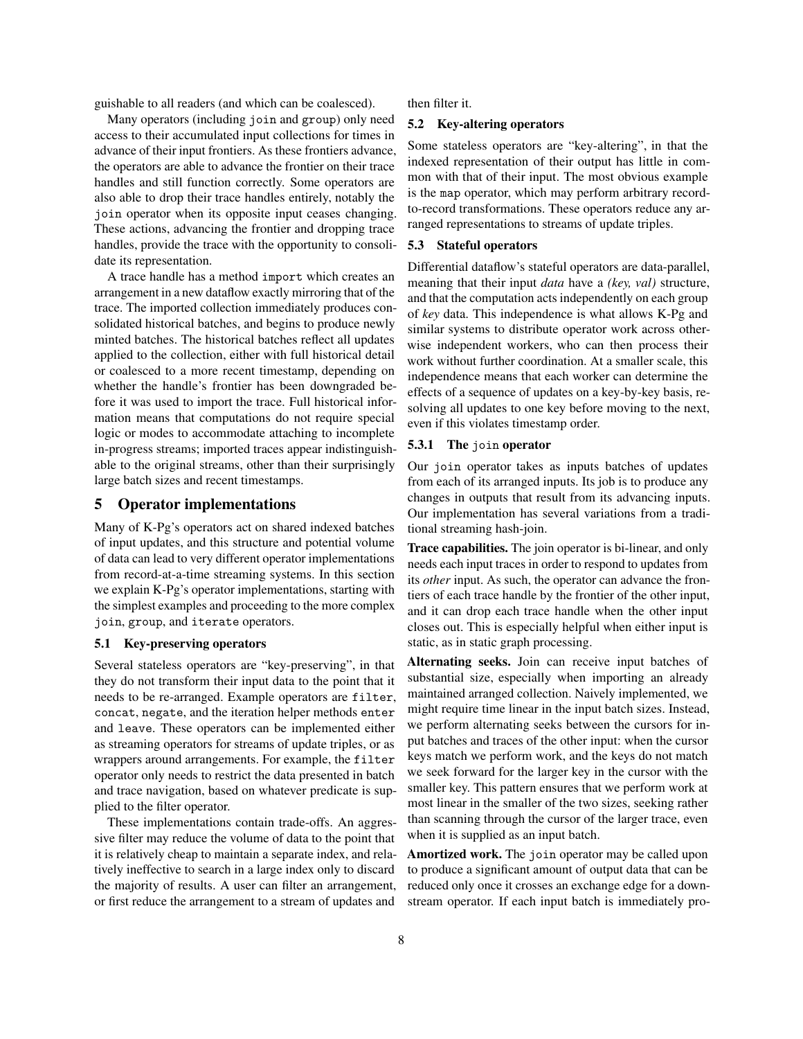guishable to all readers (and which can be coalesced).

Many operators (including join and group) only need access to their accumulated input collections for times in advance of their input frontiers. As these frontiers advance, the operators are able to advance the frontier on their trace handles and still function correctly. Some operators are also able to drop their trace handles entirely, notably the join operator when its opposite input ceases changing. These actions, advancing the frontier and dropping trace handles, provide the trace with the opportunity to consolidate its representation.

A trace handle has a method import which creates an arrangement in a new dataflow exactly mirroring that of the trace. The imported collection immediately produces consolidated historical batches, and begins to produce newly minted batches. The historical batches reflect all updates applied to the collection, either with full historical detail or coalesced to a more recent timestamp, depending on whether the handle's frontier has been downgraded before it was used to import the trace. Full historical information means that computations do not require special logic or modes to accommodate attaching to incomplete in-progress streams; imported traces appear indistinguishable to the original streams, other than their surprisingly large batch sizes and recent timestamps.

## <span id="page-7-0"></span>5 Operator implementations

Many of K-Pg's operators act on shared indexed batches of input updates, and this structure and potential volume of data can lead to very different operator implementations from record-at-a-time streaming systems. In this section we explain K-Pg's operator implementations, starting with the simplest examples and proceeding to the more complex join, group, and iterate operators.

#### 5.1 Key-preserving operators

Several stateless operators are "key-preserving", in that they do not transform their input data to the point that it needs to be re-arranged. Example operators are filter, concat, negate, and the iteration helper methods enter and leave. These operators can be implemented either as streaming operators for streams of update triples, or as wrappers around arrangements. For example, the filter operator only needs to restrict the data presented in batch and trace navigation, based on whatever predicate is supplied to the filter operator.

These implementations contain trade-offs. An aggressive filter may reduce the volume of data to the point that it is relatively cheap to maintain a separate index, and relatively ineffective to search in a large index only to discard the majority of results. A user can filter an arrangement, or first reduce the arrangement to a stream of updates and then filter it.

#### 5.2 Key-altering operators

Some stateless operators are "key-altering", in that the indexed representation of their output has little in common with that of their input. The most obvious example is the map operator, which may perform arbitrary recordto-record transformations. These operators reduce any arranged representations to streams of update triples.

## 5.3 Stateful operators

Differential dataflow's stateful operators are data-parallel, meaning that their input *data* have a *(key, val)* structure, and that the computation acts independently on each group of *key* data. This independence is what allows K-Pg and similar systems to distribute operator work across otherwise independent workers, who can then process their work without further coordination. At a smaller scale, this independence means that each worker can determine the effects of a sequence of updates on a key-by-key basis, resolving all updates to one key before moving to the next, even if this violates timestamp order.

## 5.3.1 The join operator

Our join operator takes as inputs batches of updates from each of its arranged inputs. Its job is to produce any changes in outputs that result from its advancing inputs. Our implementation has several variations from a traditional streaming hash-join.

Trace capabilities. The join operator is bi-linear, and only needs each input traces in order to respond to updates from its *other* input. As such, the operator can advance the frontiers of each trace handle by the frontier of the other input, and it can drop each trace handle when the other input closes out. This is especially helpful when either input is static, as in static graph processing.

Alternating seeks. Join can receive input batches of substantial size, especially when importing an already maintained arranged collection. Naively implemented, we might require time linear in the input batch sizes. Instead, we perform alternating seeks between the cursors for input batches and traces of the other input: when the cursor keys match we perform work, and the keys do not match we seek forward for the larger key in the cursor with the smaller key. This pattern ensures that we perform work at most linear in the smaller of the two sizes, seeking rather than scanning through the cursor of the larger trace, even when it is supplied as an input batch.

Amortized work. The join operator may be called upon to produce a significant amount of output data that can be reduced only once it crosses an exchange edge for a downstream operator. If each input batch is immediately pro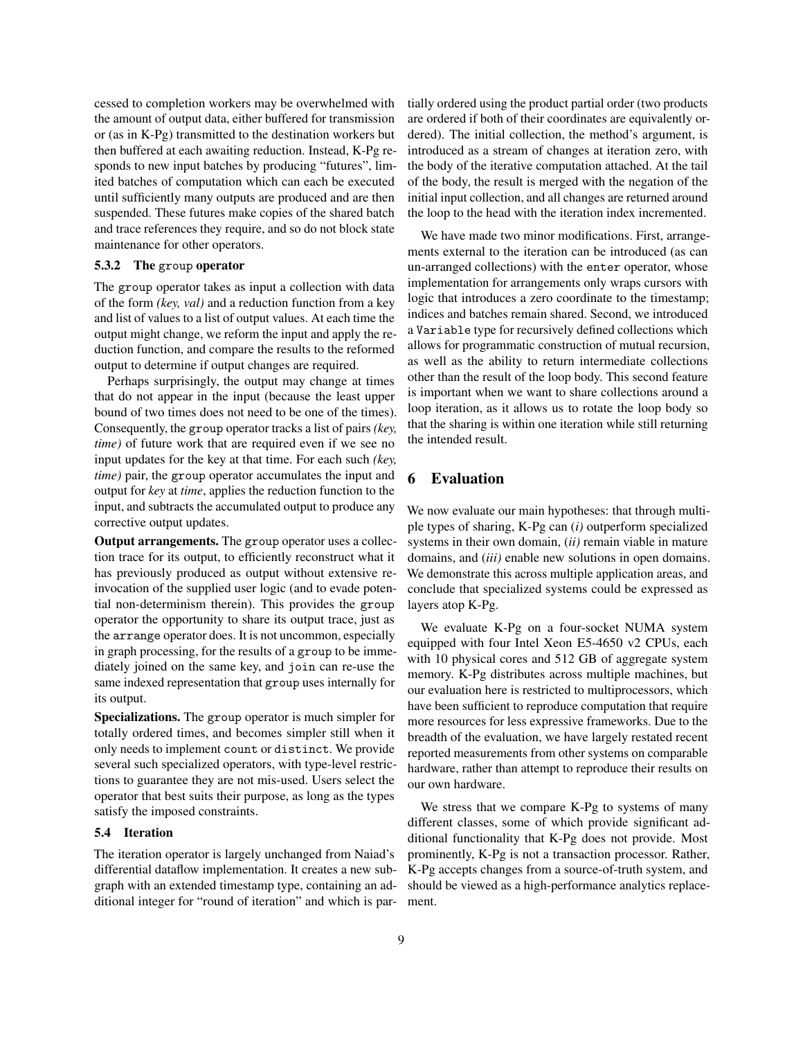cessed to completion workers may be overwhelmed with the amount of output data, either buffered for transmission or (as in K-Pg) transmitted to the destination workers but then buffered at each awaiting reduction. Instead, K-Pg responds to new input batches by producing "futures", limited batches of computation which can each be executed until sufficiently many outputs are produced and are then suspended. These futures make copies of the shared batch and trace references they require, and so do not block state maintenance for other operators.

## 5.3.2 The group operator

The group operator takes as input a collection with data of the form *(key, val)* and a reduction function from a key and list of values to a list of output values. At each time the output might change, we reform the input and apply the reduction function, and compare the results to the reformed output to determine if output changes are required.

Perhaps surprisingly, the output may change at times that do not appear in the input (because the least upper bound of two times does not need to be one of the times). Consequently, the group operator tracks a list of pairs *(key, time)* of future work that are required even if we see no input updates for the key at that time. For each such *(key, time)* pair, the group operator accumulates the input and output for *key* at *time*, applies the reduction function to the input, and subtracts the accumulated output to produce any corrective output updates.

Output arrangements. The group operator uses a collection trace for its output, to efficiently reconstruct what it has previously produced as output without extensive reinvocation of the supplied user logic (and to evade potential non-determinism therein). This provides the group operator the opportunity to share its output trace, just as the arrange operator does. It is not uncommon, especially in graph processing, for the results of a group to be immediately joined on the same key, and join can re-use the same indexed representation that group uses internally for its output.

Specializations. The group operator is much simpler for totally ordered times, and becomes simpler still when it only needs to implement count or distinct. We provide several such specialized operators, with type-level restrictions to guarantee they are not mis-used. Users select the operator that best suits their purpose, as long as the types satisfy the imposed constraints.

#### 5.4 Iteration

The iteration operator is largely unchanged from Naiad's differential dataflow implementation. It creates a new subgraph with an extended timestamp type, containing an additional integer for "round of iteration" and which is partially ordered using the product partial order (two products are ordered if both of their coordinates are equivalently ordered). The initial collection, the method's argument, is introduced as a stream of changes at iteration zero, with the body of the iterative computation attached. At the tail of the body, the result is merged with the negation of the initial input collection, and all changes are returned around the loop to the head with the iteration index incremented.

We have made two minor modifications. First, arrangements external to the iteration can be introduced (as can un-arranged collections) with the enter operator, whose implementation for arrangements only wraps cursors with logic that introduces a zero coordinate to the timestamp; indices and batches remain shared. Second, we introduced a Variable type for recursively defined collections which allows for programmatic construction of mutual recursion, as well as the ability to return intermediate collections other than the result of the loop body. This second feature is important when we want to share collections around a loop iteration, as it allows us to rotate the loop body so that the sharing is within one iteration while still returning the intended result.

## <span id="page-8-0"></span>6 Evaluation

We now evaluate our main hypotheses: that through multiple types of sharing, K-Pg can (*i)* outperform specialized systems in their own domain, (*ii)* remain viable in mature domains, and (*iii)* enable new solutions in open domains. We demonstrate this across multiple application areas, and conclude that specialized systems could be expressed as layers atop K-Pg.

We evaluate K-Pg on a four-socket NUMA system equipped with four Intel Xeon E5-4650 v2 CPUs, each with 10 physical cores and 512 GB of aggregate system memory. K-Pg distributes across multiple machines, but our evaluation here is restricted to multiprocessors, which have been sufficient to reproduce computation that require more resources for less expressive frameworks. Due to the breadth of the evaluation, we have largely restated recent reported measurements from other systems on comparable hardware, rather than attempt to reproduce their results on our own hardware.

We stress that we compare K-Pg to systems of many different classes, some of which provide significant additional functionality that K-Pg does not provide. Most prominently, K-Pg is not a transaction processor. Rather, K-Pg accepts changes from a source-of-truth system, and should be viewed as a high-performance analytics replacement.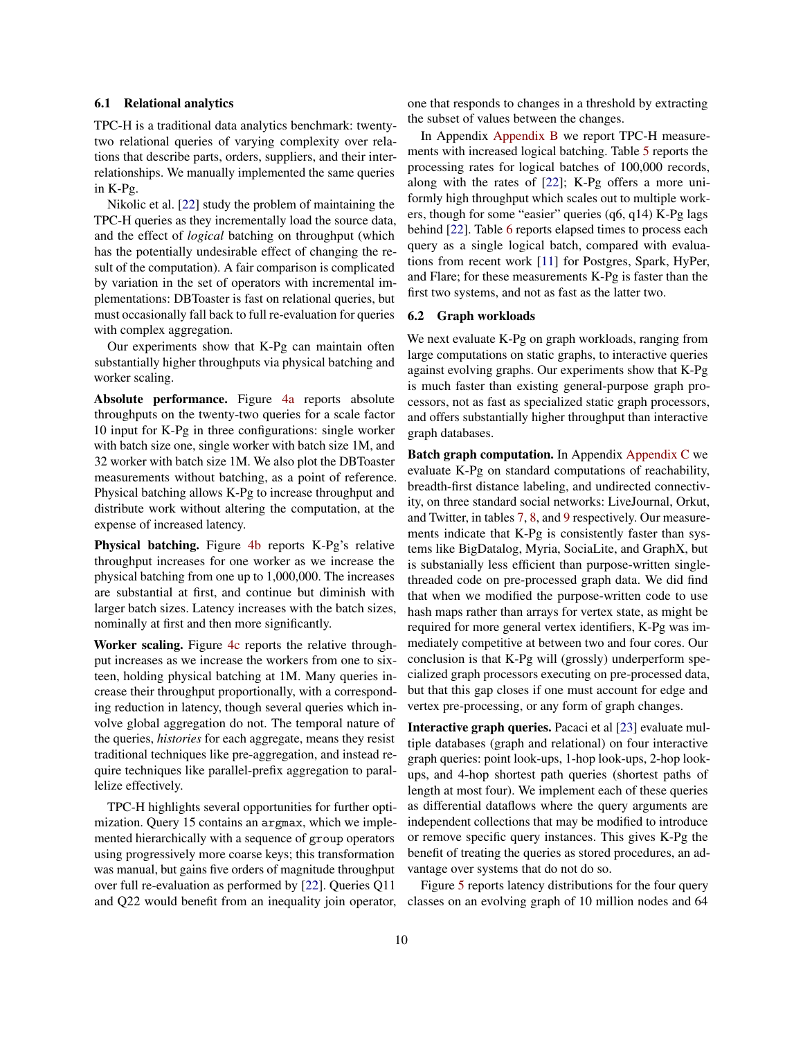#### 6.1 Relational analytics

TPC-H is a traditional data analytics benchmark: twentytwo relational queries of varying complexity over relations that describe parts, orders, suppliers, and their interrelationships. We manually implemented the same queries in K-Pg.

Nikolic et al. [\[22\]](#page-15-8) study the problem of maintaining the TPC-H queries as they incrementally load the source data, and the effect of *logical* batching on throughput (which has the potentially undesirable effect of changing the result of the computation). A fair comparison is complicated by variation in the set of operators with incremental implementations: DBToaster is fast on relational queries, but must occasionally fall back to full re-evaluation for queries with complex aggregation.

Our experiments show that K-Pg can maintain often substantially higher throughputs via physical batching and worker scaling.

Absolute performance. Figure [4a](#page-10-0) reports absolute throughputs on the twenty-two queries for a scale factor 10 input for K-Pg in three configurations: single worker with batch size one, single worker with batch size 1M, and 32 worker with batch size 1M. We also plot the DBToaster measurements without batching, as a point of reference. Physical batching allows K-Pg to increase throughput and distribute work without altering the computation, at the expense of increased latency.

Physical batching. Figure [4b](#page-10-0) reports K-Pg's relative throughput increases for one worker as we increase the physical batching from one up to 1,000,000. The increases are substantial at first, and continue but diminish with larger batch sizes. Latency increases with the batch sizes, nominally at first and then more significantly.

Worker scaling. Figure [4c](#page-10-0) reports the relative throughput increases as we increase the workers from one to sixteen, holding physical batching at 1M. Many queries increase their throughput proportionally, with a corresponding reduction in latency, though several queries which involve global aggregation do not. The temporal nature of the queries, *histories* for each aggregate, means they resist traditional techniques like pre-aggregation, and instead require techniques like parallel-prefix aggregation to parallelize effectively.

TPC-H highlights several opportunities for further optimization. Query 15 contains an argmax, which we implemented hierarchically with a sequence of group operators using progressively more coarse keys; this transformation was manual, but gains five orders of magnitude throughput over full re-evaluation as performed by [\[22\]](#page-15-8). Queries Q11 and Q22 would benefit from an inequality join operator, one that responds to changes in a threshold by extracting the subset of values between the changes.

In Appendix [Appendix B](#page-17-1) we report TPC-H measurements with increased logical batching. Table [5](#page-17-2) reports the processing rates for logical batches of 100,000 records, along with the rates of [\[22\]](#page-15-8); K-Pg offers a more uniformly high throughput which scales out to multiple workers, though for some "easier" queries (q6, q14) K-Pg lags behind [\[22\]](#page-15-8). Table [6](#page-18-0) reports elapsed times to process each query as a single logical batch, compared with evaluations from recent work [\[11\]](#page-14-7) for Postgres, Spark, HyPer, and Flare; for these measurements K-Pg is faster than the first two systems, and not as fast as the latter two.

## 6.2 Graph workloads

We next evaluate K-Pg on graph workloads, ranging from large computations on static graphs, to interactive queries against evolving graphs. Our experiments show that K-Pg is much faster than existing general-purpose graph processors, not as fast as specialized static graph processors, and offers substantially higher throughput than interactive graph databases.

Batch graph computation. In Appendix [Appendix C](#page-17-3) we evaluate K-Pg on standard computations of reachability, breadth-first distance labeling, and undirected connectivity, on three standard social networks: LiveJournal, Orkut, and Twitter, in tables [7,](#page-18-1) [8,](#page-18-2) and [9](#page-19-0) respectively. Our measurements indicate that K-Pg is consistently faster than systems like BigDatalog, Myria, SociaLite, and GraphX, but is substanially less efficient than purpose-written singlethreaded code on pre-processed graph data. We did find that when we modified the purpose-written code to use hash maps rather than arrays for vertex state, as might be required for more general vertex identifiers, K-Pg was immediately competitive at between two and four cores. Our conclusion is that K-Pg will (grossly) underperform specialized graph processors executing on pre-processed data, but that this gap closes if one must account for edge and vertex pre-processing, or any form of graph changes.

Interactive graph queries. Pacaci et al [\[23\]](#page-15-9) evaluate multiple databases (graph and relational) on four interactive graph queries: point look-ups, 1-hop look-ups, 2-hop lookups, and 4-hop shortest path queries (shortest paths of length at most four). We implement each of these queries as differential dataflows where the query arguments are independent collections that may be modified to introduce or remove specific query instances. This gives K-Pg the benefit of treating the queries as stored procedures, an advantage over systems that do not do so.

Figure [5](#page-10-1) reports latency distributions for the four query classes on an evolving graph of 10 million nodes and 64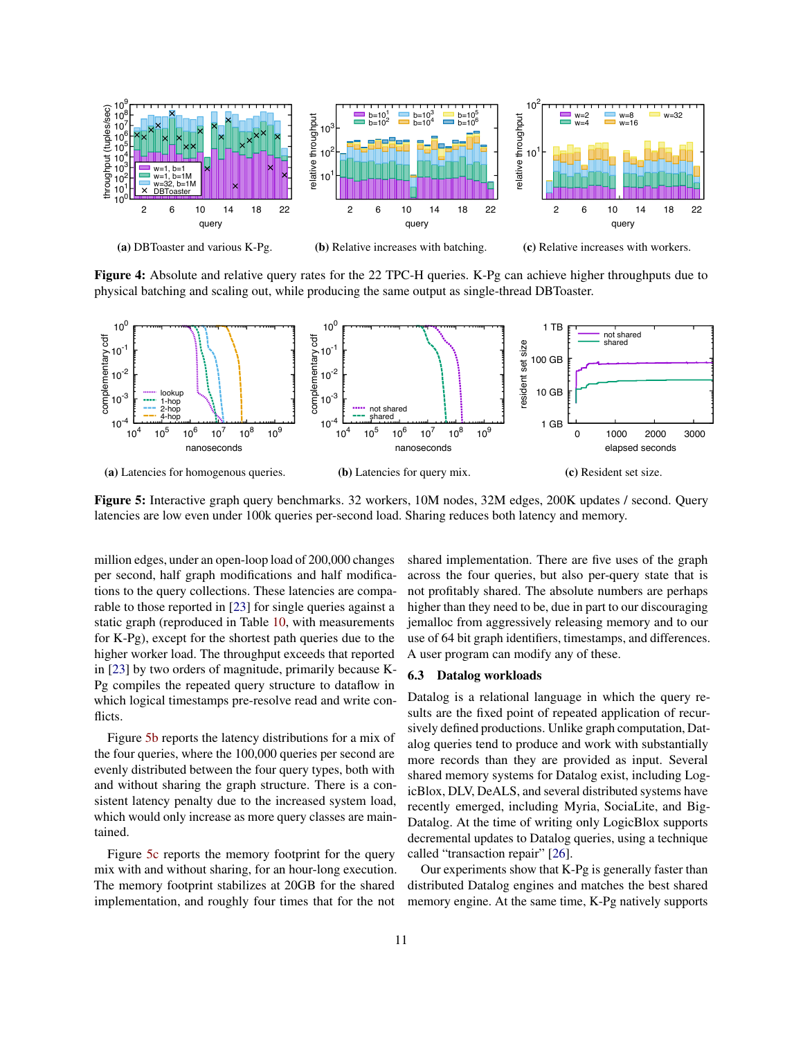<span id="page-10-0"></span>

Figure 4: Absolute and relative query rates for the 22 TPC-H queries. K-Pg can achieve higher throughputs due to physical batching and scaling out, while producing the same output as single-thread DBToaster.

<span id="page-10-1"></span>

Figure 5: Interactive graph query benchmarks. 32 workers, 10M nodes, 32M edges, 200K updates / second. Query latencies are low even under 100k queries per-second load. Sharing reduces both latency and memory.

million edges, under an open-loop load of 200,000 changes per second, half graph modifications and half modifications to the query collections. These latencies are comparable to those reported in [\[23\]](#page-15-9) for single queries against a static graph (reproduced in Table [10,](#page-19-1) with measurements for K-Pg), except for the shortest path queries due to the higher worker load. The throughput exceeds that reported in [\[23\]](#page-15-9) by two orders of magnitude, primarily because K-Pg compiles the repeated query structure to dataflow in which logical timestamps pre-resolve read and write conflicts.

Figure [5b](#page-10-1) reports the latency distributions for a mix of the four queries, where the 100,000 queries per second are evenly distributed between the four query types, both with and without sharing the graph structure. There is a consistent latency penalty due to the increased system load, which would only increase as more query classes are maintained.

Figure [5c](#page-10-1) reports the memory footprint for the query mix with and without sharing, for an hour-long execution. The memory footprint stabilizes at 20GB for the shared implementation, and roughly four times that for the not shared implementation. There are five uses of the graph across the four queries, but also per-query state that is not profitably shared. The absolute numbers are perhaps higher than they need to be, due in part to our discouraging jemalloc from aggressively releasing memory and to our use of 64 bit graph identifiers, timestamps, and differences. A user program can modify any of these.

#### 6.3 Datalog workloads

Datalog is a relational language in which the query results are the fixed point of repeated application of recursively defined productions. Unlike graph computation, Datalog queries tend to produce and work with substantially more records than they are provided as input. Several shared memory systems for Datalog exist, including LogicBlox, DLV, DeALS, and several distributed systems have recently emerged, including Myria, SociaLite, and Big-Datalog. At the time of writing only LogicBlox supports decremental updates to Datalog queries, using a technique called "transaction repair" [\[26\]](#page-15-10).

Our experiments show that K-Pg is generally faster than distributed Datalog engines and matches the best shared memory engine. At the same time, K-Pg natively supports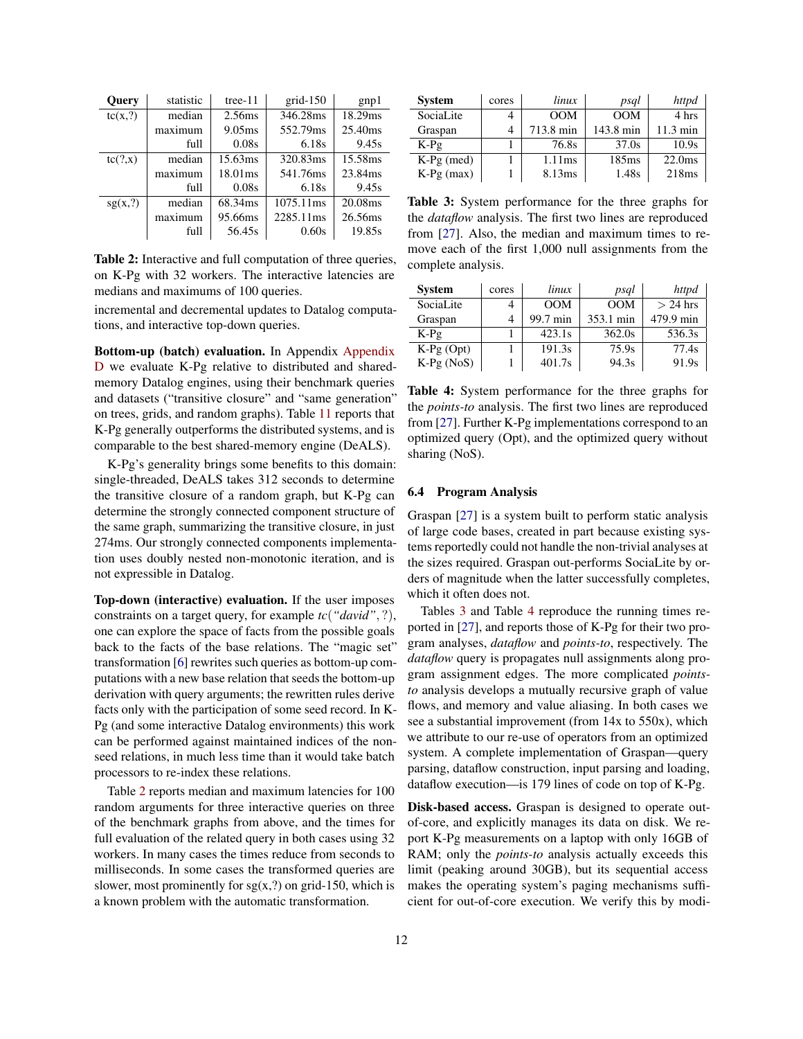<span id="page-11-0"></span>

| <b>Query</b> | statistic | tree- $11$ | $grid-150$ | gnp1    |
|--------------|-----------|------------|------------|---------|
| tc(x,?)      | median    | 2.56ms     | 346.28ms   | 18.29ms |
|              | maximum   | 9.05ms     | 552.79ms   | 25.40ms |
|              | full      | 0.08s      | 6.18s      | 9.45s   |
| tc(?, x)     | median    | 15.63ms    | 320.83ms   | 15.58ms |
|              | maximum   | 18.01ms    | 541.76ms   | 23.84ms |
|              | full      | 0.08s      | 6.18s      | 9.45s   |
| sg(x,?)      | median    | 68.34ms    | 1075.11ms  | 20.08ms |
|              | maximum   | 95.66ms    | 2285.11ms  | 26.56ms |
|              | full      | 56.45s     | 0.60s      | 19.85s  |

Table 2: Interactive and full computation of three queries, on K-Pg with 32 workers. The interactive latencies are medians and maximums of 100 queries.

incremental and decremental updates to Datalog computations, and interactive top-down queries.

Bottom-up (batch) evaluation. In Appendix [Appendix](#page-18-3) [D](#page-18-3) we evaluate K-Pg relative to distributed and sharedmemory Datalog engines, using their benchmark queries and datasets ("transitive closure" and "same generation" on trees, grids, and random graphs). Table [11](#page-19-2) reports that K-Pg generally outperforms the distributed systems, and is comparable to the best shared-memory engine (DeALS).

K-Pg's generality brings some benefits to this domain: single-threaded, DeALS takes 312 seconds to determine the transitive closure of a random graph, but K-Pg can determine the strongly connected component structure of the same graph, summarizing the transitive closure, in just 274ms. Our strongly connected components implementation uses doubly nested non-monotonic iteration, and is not expressible in Datalog.

Top-down (interactive) evaluation. If the user imposes constraints on a target query, for example *tc*(*"david"*, ?), one can explore the space of facts from the possible goals back to the facts of the base relations. The "magic set" transformation [\[6\]](#page-14-8) rewrites such queries as bottom-up computations with a new base relation that seeds the bottom-up derivation with query arguments; the rewritten rules derive facts only with the participation of some seed record. In K-Pg (and some interactive Datalog environments) this work can be performed against maintained indices of the nonseed relations, in much less time than it would take batch processors to re-index these relations.

Table [2](#page-11-0) reports median and maximum latencies for 100 random arguments for three interactive queries on three of the benchmark graphs from above, and the times for full evaluation of the related query in both cases using 32 workers. In many cases the times reduce from seconds to milliseconds. In some cases the transformed queries are slower, most prominently for  $sg(x,?)$  on grid-150, which is a known problem with the automatic transformation.

<span id="page-11-1"></span>

| <b>System</b> | cores | linux     | psql      | httpd              |
|---------------|-------|-----------|-----------|--------------------|
| SociaLite     |       | OM        | OM        | 4 hrs              |
| Graspan       |       | 713.8 min | 143.8 min | $11.3 \text{ min}$ |
| $K-Pg$        |       | 76.8s     | 37.0s     | 10.9s              |
| $K-Pg$ (med)  |       | 1.11ms    | 185ms     | 22.0 <sub>ms</sub> |
| $K-Pg$ (max)  |       | 8.13ms    | 1.48s     | 218ms              |

Table 3: System performance for the three graphs for the *dataflow* analysis. The first two lines are reproduced from [\[27\]](#page-15-4). Also, the median and maximum times to remove each of the first 1,000 null assignments from the complete analysis.

<span id="page-11-2"></span>

| <b>System</b> | cores | linux    | psql      | httpd      |
|---------------|-------|----------|-----------|------------|
| SociaLite     |       | OM       | OM        | $> 24$ hrs |
| Graspan       | 4     | 99.7 min | 353.1 min | 479.9 min  |
| $K-Pg$        |       | 423.1s   | 362.0s    | 536.3s     |
| $K-Pg$ (Opt)  |       | 191.3s   | 75.9s     | 77.4s      |
| $K-Pg (NoS)$  |       | 401.7s   | 94.3s     | 91.9s      |

Table 4: System performance for the three graphs for the *points-to* analysis. The first two lines are reproduced from [\[27\]](#page-15-4). Further K-Pg implementations correspond to an optimized query (Opt), and the optimized query without sharing (NoS).

#### 6.4 Program Analysis

Graspan [\[27\]](#page-15-4) is a system built to perform static analysis of large code bases, created in part because existing systems reportedly could not handle the non-trivial analyses at the sizes required. Graspan out-performs SociaLite by orders of magnitude when the latter successfully completes, which it often does not.

Tables [3](#page-11-1) and Table [4](#page-11-2) reproduce the running times reported in [\[27\]](#page-15-4), and reports those of K-Pg for their two program analyses, *dataflow* and *points-to*, respectively. The *dataflow* query is propagates null assignments along program assignment edges. The more complicated *pointsto* analysis develops a mutually recursive graph of value flows, and memory and value aliasing. In both cases we see a substantial improvement (from 14x to 550x), which we attribute to our re-use of operators from an optimized system. A complete implementation of Graspan—query parsing, dataflow construction, input parsing and loading, dataflow execution—is 179 lines of code on top of K-Pg.

Disk-based access. Graspan is designed to operate outof-core, and explicitly manages its data on disk. We report K-Pg measurements on a laptop with only 16GB of RAM; only the *points-to* analysis actually exceeds this limit (peaking around 30GB), but its sequential access makes the operating system's paging mechanisms sufficient for out-of-core execution. We verify this by modi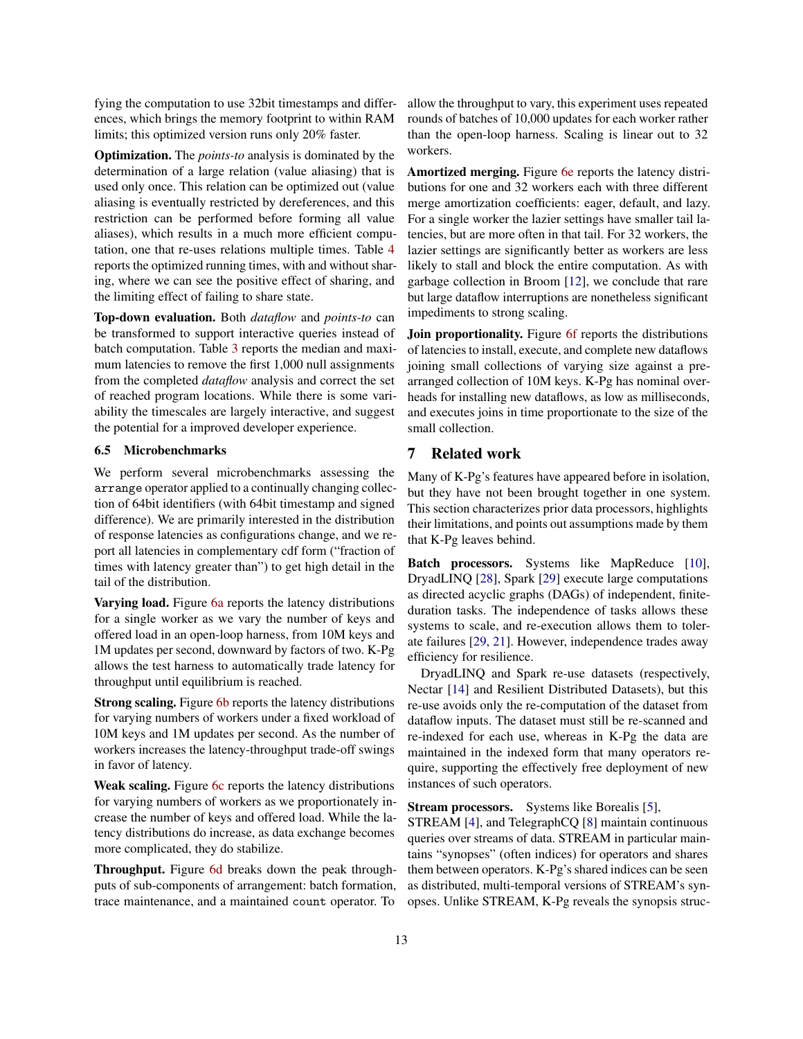fying the computation to use 32bit timestamps and differences, which brings the memory footprint to within RAM limits; this optimized version runs only 20% faster.

Optimization. The *points-to* analysis is dominated by the determination of a large relation (value aliasing) that is used only once. This relation can be optimized out (value aliasing is eventually restricted by dereferences, and this restriction can be performed before forming all value aliases), which results in a much more efficient computation, one that re-uses relations multiple times. Table [4](#page-11-2) reports the optimized running times, with and without sharing, where we can see the positive effect of sharing, and the limiting effect of failing to share state.

Top-down evaluation. Both *dataflow* and *points-to* can be transformed to support interactive queries instead of batch computation. Table [3](#page-11-1) reports the median and maximum latencies to remove the first 1,000 null assignments from the completed *dataflow* analysis and correct the set of reached program locations. While there is some variability the timescales are largely interactive, and suggest the potential for a improved developer experience.

#### 6.5 Microbenchmarks

We perform several microbenchmarks assessing the arrange operator applied to a continually changing collection of 64bit identifiers (with 64bit timestamp and signed difference). We are primarily interested in the distribution of response latencies as configurations change, and we report all latencies in complementary cdf form ("fraction of times with latency greater than") to get high detail in the tail of the distribution.

Varving load. Figure [6a](#page-13-0) reports the latency distributions for a single worker as we vary the number of keys and offered load in an open-loop harness, from 10M keys and 1M updates per second, downward by factors of two. K-Pg allows the test harness to automatically trade latency for throughput until equilibrium is reached.

**Strong scaling.** Figure [6b](#page-13-0) reports the latency distributions for varying numbers of workers under a fixed workload of 10M keys and 1M updates per second. As the number of workers increases the latency-throughput trade-off swings in favor of latency.

Weak scaling. Figure [6c](#page-13-0) reports the latency distributions for varying numbers of workers as we proportionately increase the number of keys and offered load. While the latency distributions do increase, as data exchange becomes more complicated, they do stabilize.

Throughput. Figure [6d](#page-13-0) breaks down the peak throughputs of sub-components of arrangement: batch formation, trace maintenance, and a maintained count operator. To allow the throughput to vary, this experiment uses repeated rounds of batches of 10,000 updates for each worker rather than the open-loop harness. Scaling is linear out to 32 workers.

Amortized merging. Figure [6e](#page-13-0) reports the latency distributions for one and 32 workers each with three different merge amortization coefficients: eager, default, and lazy. For a single worker the lazier settings have smaller tail latencies, but are more often in that tail. For 32 workers, the lazier settings are significantly better as workers are less likely to stall and block the entire computation. As with garbage collection in Broom [\[12\]](#page-14-9), we conclude that rare but large dataflow interruptions are nonetheless significant impediments to strong scaling.

Join proportionality. Figure [6f](#page-13-0) reports the distributions of latencies to install, execute, and complete new dataflows joining small collections of varying size against a prearranged collection of 10M keys. K-Pg has nominal overheads for installing new dataflows, as low as milliseconds, and executes joins in time proportionate to the size of the small collection.

## <span id="page-12-0"></span>7 Related work

Many of K-Pg's features have appeared before in isolation, but they have not been brought together in one system. This section characterizes prior data processors, highlights their limitations, and points out assumptions made by them that K-Pg leaves behind.

Batch processors. Systems like MapReduce [\[10\]](#page-14-0), DryadLINQ [\[28\]](#page-15-11), Spark [\[29\]](#page-16-0) execute large computations as directed acyclic graphs (DAGs) of independent, finiteduration tasks. The independence of tasks allows these systems to scale, and re-execution allows them to tolerate failures [\[29,](#page-16-0) [21\]](#page-15-12). However, independence trades away efficiency for resilience.

DryadLINQ and Spark re-use datasets (respectively, Nectar [\[14\]](#page-15-13) and Resilient Distributed Datasets), but this re-use avoids only the re-computation of the dataset from dataflow inputs. The dataset must still be re-scanned and re-indexed for each use, whereas in K-Pg the data are maintained in the indexed form that many operators require, supporting the effectively free deployment of new instances of such operators.

Stream processors. Systems like Borealis [\[5\]](#page-14-10),

STREAM [\[4\]](#page-14-11), and TelegraphCQ [\[8\]](#page-14-12) maintain continuous queries over streams of data. STREAM in particular maintains "synopses" (often indices) for operators and shares them between operators. K-Pg's shared indices can be seen as distributed, multi-temporal versions of STREAM's synopses. Unlike STREAM, K-Pg reveals the synopsis struc-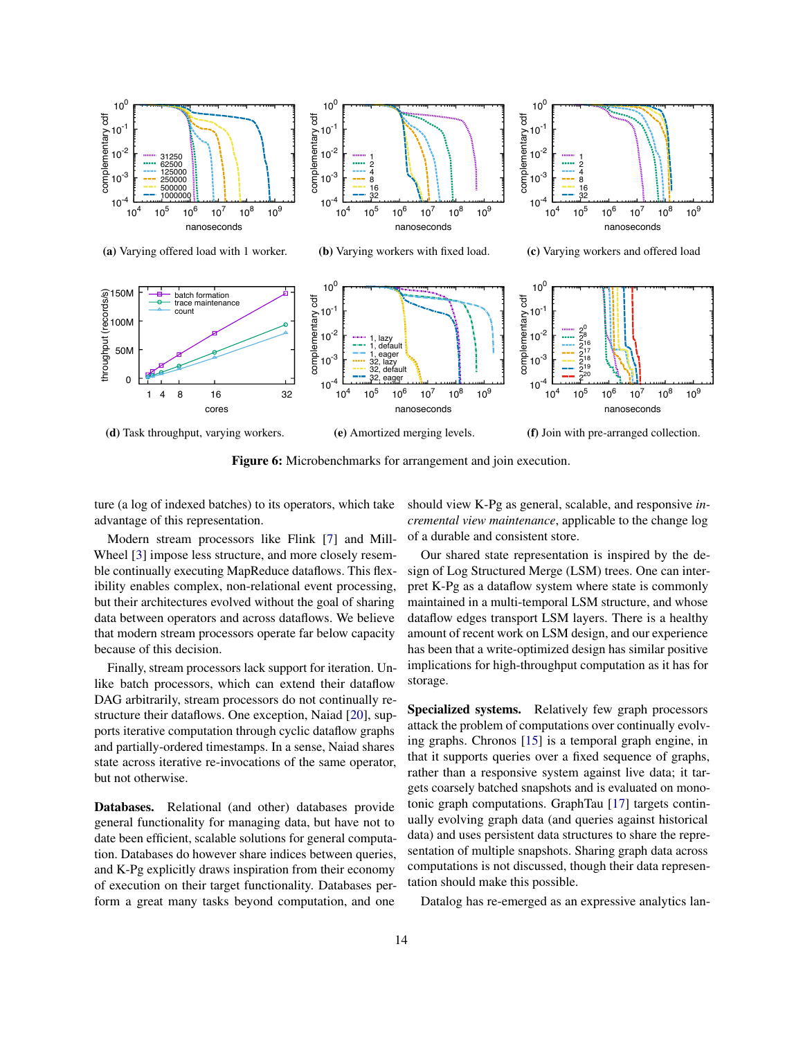<span id="page-13-0"></span>

Figure 6: Microbenchmarks for arrangement and join execution.

ture (a log of indexed batches) to its operators, which take advantage of this representation.

Modern stream processors like Flink [\[7\]](#page-14-1) and Mill-Wheel [\[3\]](#page-14-13) impose less structure, and more closely resemble continually executing MapReduce dataflows. This flexibility enables complex, non-relational event processing, but their architectures evolved without the goal of sharing data between operators and across dataflows. We believe that modern stream processors operate far below capacity because of this decision.

Finally, stream processors lack support for iteration. Unlike batch processors, which can extend their dataflow DAG arbitrarily, stream processors do not continually restructure their dataflows. One exception, Naiad [\[20\]](#page-15-6), supports iterative computation through cyclic dataflow graphs and partially-ordered timestamps. In a sense, Naiad shares state across iterative re-invocations of the same operator, but not otherwise.

Databases. Relational (and other) databases provide general functionality for managing data, but have not to date been efficient, scalable solutions for general computation. Databases do however share indices between queries, and K-Pg explicitly draws inspiration from their economy of execution on their target functionality. Databases perform a great many tasks beyond computation, and one should view K-Pg as general, scalable, and responsive *incremental view maintenance*, applicable to the change log of a durable and consistent store.

Our shared state representation is inspired by the design of Log Structured Merge (LSM) trees. One can interpret K-Pg as a dataflow system where state is commonly maintained in a multi-temporal LSM structure, and whose dataflow edges transport LSM layers. There is a healthy amount of recent work on LSM design, and our experience has been that a write-optimized design has similar positive implications for high-throughput computation as it has for storage.

Specialized systems. Relatively few graph processors attack the problem of computations over continually evolving graphs. Chronos [\[15\]](#page-15-14) is a temporal graph engine, in that it supports queries over a fixed sequence of graphs, rather than a responsive system against live data; it targets coarsely batched snapshots and is evaluated on monotonic graph computations. GraphTau [\[17\]](#page-15-7) targets continually evolving graph data (and queries against historical data) and uses persistent data structures to share the representation of multiple snapshots. Sharing graph data across computations is not discussed, though their data representation should make this possible.

Datalog has re-emerged as an expressive analytics lan-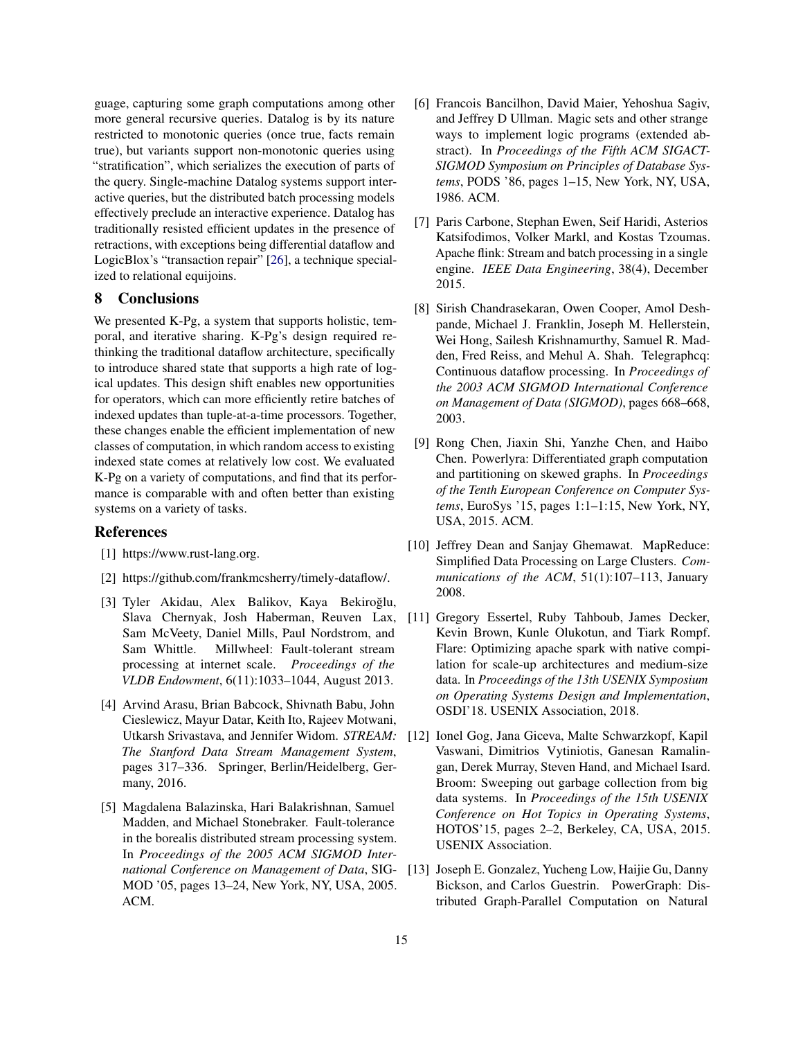guage, capturing some graph computations among other more general recursive queries. Datalog is by its nature restricted to monotonic queries (once true, facts remain true), but variants support non-monotonic queries using "stratification", which serializes the execution of parts of the query. Single-machine Datalog systems support interactive queries, but the distributed batch processing models effectively preclude an interactive experience. Datalog has traditionally resisted efficient updates in the presence of retractions, with exceptions being differential dataflow and LogicBlox's "transaction repair" [\[26\]](#page-15-10), a technique specialized to relational equijoins.

# <span id="page-14-6"></span>8 Conclusions

We presented K-Pg, a system that supports holistic, temporal, and iterative sharing. K-Pg's design required rethinking the traditional dataflow architecture, specifically to introduce shared state that supports a high rate of logical updates. This design shift enables new opportunities for operators, which can more efficiently retire batches of indexed updates than tuple-at-a-time processors. Together, these changes enable the efficient implementation of new classes of computation, in which random access to existing indexed state comes at relatively low cost. We evaluated K-Pg on a variety of computations, and find that its performance is comparable with and often better than existing systems on a variety of tasks.

#### References

- <span id="page-14-4"></span>[1] https://www.rust-lang.org.
- <span id="page-14-5"></span>[2] https://github.com/frankmcsherry/timely-dataflow/.
- <span id="page-14-13"></span>[3] Tyler Akidau, Alex Balikov, Kaya Bekiroğlu, Slava Chernyak, Josh Haberman, Reuven Lax, Sam McVeety, Daniel Mills, Paul Nordstrom, and Sam Whittle. Millwheel: Fault-tolerant stream processing at internet scale. *Proceedings of the VLDB Endowment*, 6(11):1033–1044, August 2013.
- <span id="page-14-11"></span>[4] Arvind Arasu, Brian Babcock, Shivnath Babu, John Cieslewicz, Mayur Datar, Keith Ito, Rajeev Motwani, Utkarsh Srivastava, and Jennifer Widom. *STREAM: The Stanford Data Stream Management System*, pages 317–336. Springer, Berlin/Heidelberg, Germany, 2016.
- <span id="page-14-10"></span>[5] Magdalena Balazinska, Hari Balakrishnan, Samuel Madden, and Michael Stonebraker. Fault-tolerance in the borealis distributed stream processing system. In *Proceedings of the 2005 ACM SIGMOD International Conference on Management of Data*, SIG-MOD '05, pages 13–24, New York, NY, USA, 2005. ACM.
- <span id="page-14-8"></span>[6] Francois Bancilhon, David Maier, Yehoshua Sagiv, and Jeffrey D Ullman. Magic sets and other strange ways to implement logic programs (extended abstract). In *Proceedings of the Fifth ACM SIGACT-SIGMOD Symposium on Principles of Database Systems*, PODS '86, pages 1–15, New York, NY, USA, 1986. ACM.
- <span id="page-14-1"></span>[7] Paris Carbone, Stephan Ewen, Seif Haridi, Asterios Katsifodimos, Volker Markl, and Kostas Tzoumas. Apache flink: Stream and batch processing in a single engine. *IEEE Data Engineering*, 38(4), December 2015.
- <span id="page-14-12"></span>[8] Sirish Chandrasekaran, Owen Cooper, Amol Deshpande, Michael J. Franklin, Joseph M. Hellerstein, Wei Hong, Sailesh Krishnamurthy, Samuel R. Madden, Fred Reiss, and Mehul A. Shah. Telegraphcq: Continuous dataflow processing. In *Proceedings of the 2003 ACM SIGMOD International Conference on Management of Data (SIGMOD)*, pages 668–668, 2003.
- <span id="page-14-3"></span>[9] Rong Chen, Jiaxin Shi, Yanzhe Chen, and Haibo Chen. Powerlyra: Differentiated graph computation and partitioning on skewed graphs. In *Proceedings of the Tenth European Conference on Computer Systems*, EuroSys '15, pages 1:1–1:15, New York, NY, USA, 2015. ACM.
- <span id="page-14-0"></span>[10] Jeffrey Dean and Sanjay Ghemawat. MapReduce: Simplified Data Processing on Large Clusters. *Communications of the ACM*, 51(1):107–113, January 2008.
- <span id="page-14-7"></span>[11] Gregory Essertel, Ruby Tahboub, James Decker, Kevin Brown, Kunle Olukotun, and Tiark Rompf. Flare: Optimizing apache spark with native compilation for scale-up architectures and medium-size data. In *Proceedings of the 13th USENIX Symposium on Operating Systems Design and Implementation*, OSDI'18. USENIX Association, 2018.
- <span id="page-14-9"></span>[12] Ionel Gog, Jana Giceva, Malte Schwarzkopf, Kapil Vaswani, Dimitrios Vytiniotis, Ganesan Ramalingan, Derek Murray, Steven Hand, and Michael Isard. Broom: Sweeping out garbage collection from big data systems. In *Proceedings of the 15th USENIX Conference on Hot Topics in Operating Systems*, HOTOS'15, pages 2–2, Berkeley, CA, USA, 2015. USENIX Association.
- <span id="page-14-2"></span>[13] Joseph E. Gonzalez, Yucheng Low, Haijie Gu, Danny Bickson, and Carlos Guestrin. PowerGraph: Distributed Graph-Parallel Computation on Natural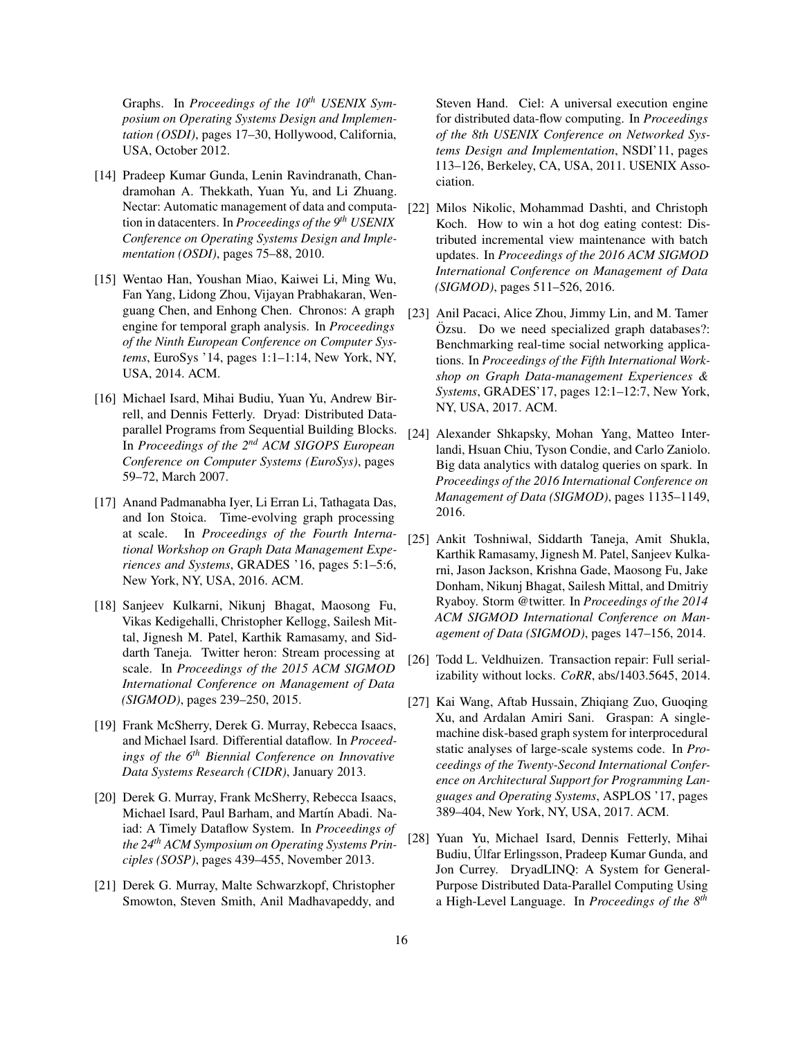Graphs. In *Proceedings of the 10th USENIX Symposium on Operating Systems Design and Implementation (OSDI)*, pages 17–30, Hollywood, California, USA, October 2012.

- <span id="page-15-13"></span>[14] Pradeep Kumar Gunda, Lenin Ravindranath, Chandramohan A. Thekkath, Yuan Yu, and Li Zhuang. Nectar: Automatic management of data and computation in datacenters. In *Proceedings of the 9th USENIX Conference on Operating Systems Design and Implementation (OSDI)*, pages 75–88, 2010.
- <span id="page-15-14"></span>[15] Wentao Han, Youshan Miao, Kaiwei Li, Ming Wu, Fan Yang, Lidong Zhou, Vijayan Prabhakaran, Wenguang Chen, and Enhong Chen. Chronos: A graph engine for temporal graph analysis. In *Proceedings of the Ninth European Conference on Computer Systems*, EuroSys '14, pages 1:1–1:14, New York, NY, USA, 2014. ACM.
- <span id="page-15-0"></span>[16] Michael Isard, Mihai Budiu, Yuan Yu, Andrew Birrell, and Dennis Fetterly. Dryad: Distributed Dataparallel Programs from Sequential Building Blocks. In *Proceedings of the 2nd ACM SIGOPS European Conference on Computer Systems (EuroSys)*, pages 59–72, March 2007.
- <span id="page-15-7"></span>[17] Anand Padmanabha Iyer, Li Erran Li, Tathagata Das, and Ion Stoica. Time-evolving graph processing at scale. In *Proceedings of the Fourth International Workshop on Graph Data Management Experiences and Systems*, GRADES '16, pages 5:1–5:6, New York, NY, USA, 2016. ACM.
- <span id="page-15-2"></span>[18] Sanjeev Kulkarni, Nikunj Bhagat, Maosong Fu, Vikas Kedigehalli, Christopher Kellogg, Sailesh Mittal, Jignesh M. Patel, Karthik Ramasamy, and Siddarth Taneja. Twitter heron: Stream processing at scale. In *Proceedings of the 2015 ACM SIGMOD International Conference on Management of Data (SIGMOD)*, pages 239–250, 2015.
- <span id="page-15-5"></span>[19] Frank McSherry, Derek G. Murray, Rebecca Isaacs, and Michael Isard. Differential dataflow. In *Proceedings of the 6th Biennial Conference on Innovative Data Systems Research (CIDR)*, January 2013.
- <span id="page-15-6"></span>[20] Derek G. Murray, Frank McSherry, Rebecca Isaacs, Michael Isard, Paul Barham, and Martín Abadi. Naiad: A Timely Dataflow System. In *Proceedings of the 24th ACM Symposium on Operating Systems Principles (SOSP)*, pages 439–455, November 2013.
- <span id="page-15-12"></span>[21] Derek G. Murray, Malte Schwarzkopf, Christopher Smowton, Steven Smith, Anil Madhavapeddy, and

Steven Hand. Ciel: A universal execution engine for distributed data-flow computing. In *Proceedings of the 8th USENIX Conference on Networked Systems Design and Implementation*, NSDI'11, pages 113–126, Berkeley, CA, USA, 2011. USENIX Association.

- <span id="page-15-8"></span>[22] Milos Nikolic, Mohammad Dashti, and Christoph Koch. How to win a hot dog eating contest: Distributed incremental view maintenance with batch updates. In *Proceedings of the 2016 ACM SIGMOD International Conference on Management of Data (SIGMOD)*, pages 511–526, 2016.
- <span id="page-15-9"></span>[23] Anil Pacaci, Alice Zhou, Jimmy Lin, and M. Tamer Ozsu. Do we need specialized graph databases?: ¨ Benchmarking real-time social networking applications. In *Proceedings of the Fifth International Workshop on Graph Data-management Experiences & Systems*, GRADES'17, pages 12:1–12:7, New York, NY, USA, 2017. ACM.
- <span id="page-15-3"></span>[24] Alexander Shkapsky, Mohan Yang, Matteo Interlandi, Hsuan Chiu, Tyson Condie, and Carlo Zaniolo. Big data analytics with datalog queries on spark. In *Proceedings of the 2016 International Conference on Management of Data (SIGMOD)*, pages 1135–1149, 2016.
- <span id="page-15-1"></span>[25] Ankit Toshniwal, Siddarth Taneja, Amit Shukla, Karthik Ramasamy, Jignesh M. Patel, Sanjeev Kulkarni, Jason Jackson, Krishna Gade, Maosong Fu, Jake Donham, Nikunj Bhagat, Sailesh Mittal, and Dmitriy Ryaboy. Storm @twitter. In *Proceedings of the 2014 ACM SIGMOD International Conference on Management of Data (SIGMOD)*, pages 147–156, 2014.
- <span id="page-15-10"></span>[26] Todd L. Veldhuizen. Transaction repair: Full serializability without locks. *CoRR*, abs/1403.5645, 2014.
- <span id="page-15-4"></span>[27] Kai Wang, Aftab Hussain, Zhiqiang Zuo, Guoqing Xu, and Ardalan Amiri Sani. Graspan: A singlemachine disk-based graph system for interprocedural static analyses of large-scale systems code. In *Proceedings of the Twenty-Second International Conference on Architectural Support for Programming Languages and Operating Systems*, ASPLOS '17, pages 389–404, New York, NY, USA, 2017. ACM.
- <span id="page-15-11"></span>[28] Yuan Yu, Michael Isard, Dennis Fetterly, Mihai Budiu, Ulfar Erlingsson, Pradeep Kumar Gunda, and ´ Jon Currey. DryadLINQ: A System for General-Purpose Distributed Data-Parallel Computing Using a High-Level Language. In *Proceedings of the 8th*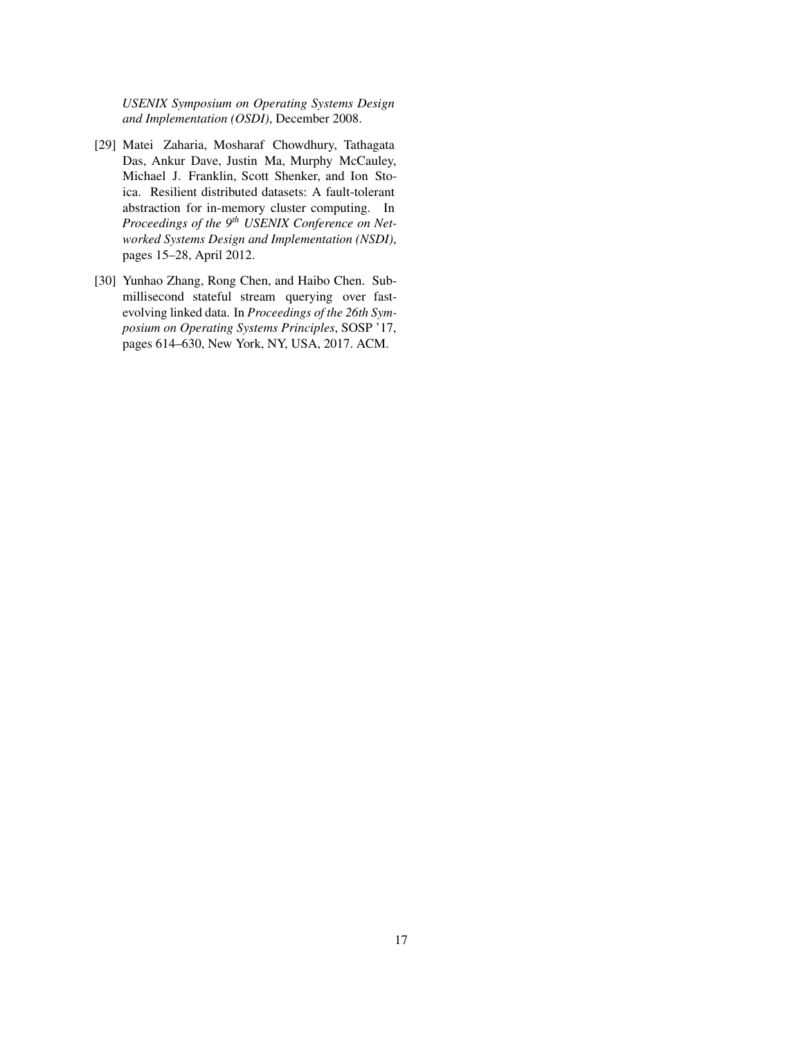*USENIX Symposium on Operating Systems Design and Implementation (OSDI)*, December 2008.

- <span id="page-16-0"></span>[29] Matei Zaharia, Mosharaf Chowdhury, Tathagata Das, Ankur Dave, Justin Ma, Murphy McCauley, Michael J. Franklin, Scott Shenker, and Ion Stoica. Resilient distributed datasets: A fault-tolerant abstraction for in-memory cluster computing. In *Proceedings of the 9th USENIX Conference on Networked Systems Design and Implementation (NSDI)*, pages 15–28, April 2012.
- <span id="page-16-1"></span>[30] Yunhao Zhang, Rong Chen, and Haibo Chen. Submillisecond stateful stream querying over fastevolving linked data. In *Proceedings of the 26th Symposium on Operating Systems Principles*, SOSP '17, pages 614–630, New York, NY, USA, 2017. ACM.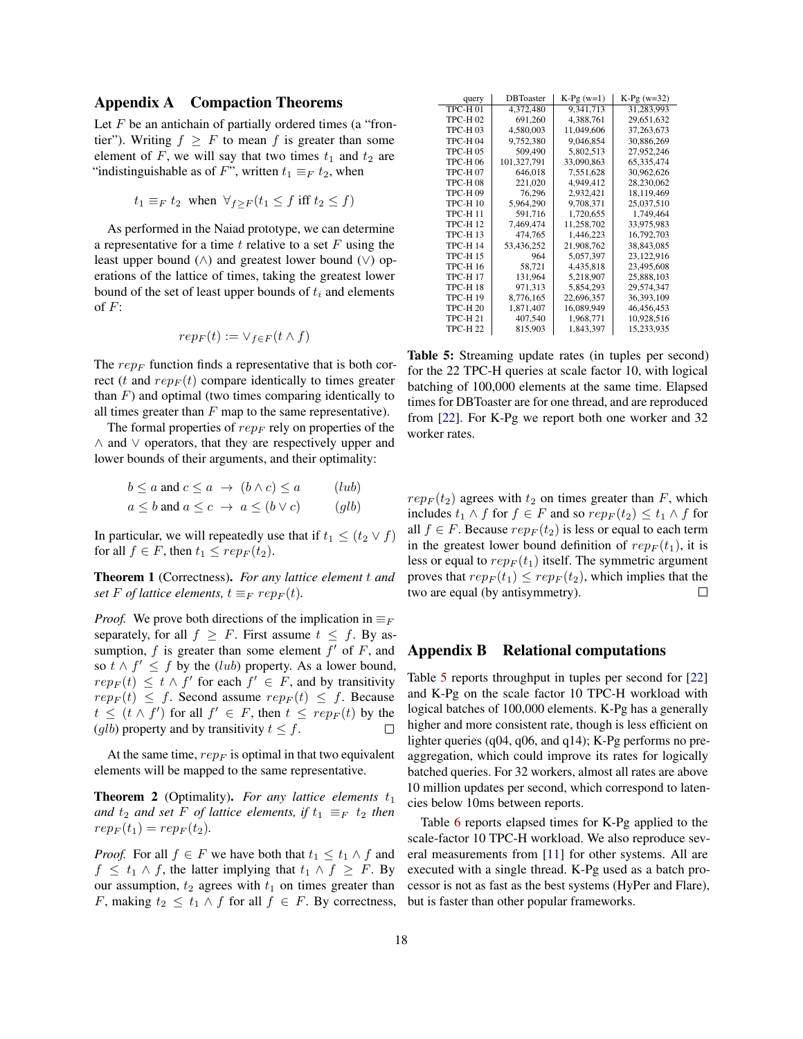## <span id="page-17-0"></span>Appendix A Compaction Theorems

Let  $F$  be an antichain of partially ordered times (a "frontier"). Writing  $f \geq F$  to mean f is greater than some element of F, we will say that two times  $t_1$  and  $t_2$  are "indistinguishable as of F", written  $t_1 \equiv_F t_2$ , when

$$
t_1 \equiv_F t_2
$$
 when  $\forall_{f \geq F} (t_1 \leq f$  iff  $t_2 \leq f$ )

As performed in the Naiad prototype, we can determine a representative for a time  $t$  relative to a set  $F$  using the least upper bound (∧) and greatest lower bound (∨) operations of the lattice of times, taking the greatest lower bound of the set of least upper bounds of  $t_i$  and elements of  $F$ :

$$
rep_F(t) := \vee_{f \in F}(t \wedge f)
$$

The  $rep_F$  function finds a representative that is both correct (t and  $rep_F(t)$  compare identically to times greater than  $F$ ) and optimal (two times comparing identically to all times greater than  $F$  map to the same representative).

The formal properties of  $rep_F$  rely on properties of the ∧ and ∨ operators, that they are respectively upper and lower bounds of their arguments, and their optimality:

$$
b \le a \text{ and } c \le a \implies (b \land c) \le a \qquad (lub)
$$
  

$$
a \le b \text{ and } a \le c \implies a \le (b \lor c) \qquad (glb)
$$

In particular, we will repeatedly use that if  $t_1 \leq (t_2 \vee f)$ for all  $f \in F$ , then  $t_1 \leq rep_F(t_2)$ .

Theorem 1 (Correctness). *For any lattice element* t *and set* F *of lattice elements,*  $t \equiv_F rep_F(t)$ *.* 

*Proof.* We prove both directions of the implication in  $\equiv_F$ separately, for all  $f \geq F$ . First assume  $t \leq f$ . By assumption,  $f$  is greater than some element  $f'$  of  $F$ , and so  $t \wedge f' \leq f$  by the (*lub*) property. As a lower bound,  $rep_F(t) \leq t \wedge f'$  for each  $f' \in F$ , and by transitivity  $rep_F(t) \leq f$ . Second assume  $rep_F(t) \leq f$ . Because  $t \leq (t \wedge f')$  for all  $f' \in F$ , then  $t \leq rep_F(t)$  by the (glb) property and by transitivity  $t \leq f$ .  $\Box$ 

At the same time,  $rep_F$  is optimal in that two equivalent elements will be mapped to the same representative.

**Theorem 2** (Optimality). For any lattice elements  $t_1$ *and*  $t_2$  *and set* F *of lattice elements, if*  $t_1 \equiv_F t_2$  *then*  $rep_F(t_1) = rep_F(t_2)$ .

*Proof.* For all  $f \in F$  we have both that  $t_1 \leq t_1 \wedge f$  and  $f \n\leq t_1 \wedge f$ , the latter implying that  $t_1 \wedge f \geq F$ . By our assumption,  $t_2$  agrees with  $t_1$  on times greater than F, making  $t_2 \leq t_1 \wedge f$  for all  $f \in F$ . By correctness,

<span id="page-17-2"></span>

| query          | <b>DBT</b> oaster | $K-Pg(w=1)$ | $K-Pg(w=32)$ |
|----------------|-------------------|-------------|--------------|
| TPC-H 01       | 4,372,480         | 9,341,713   | 31,283,993   |
| TPC-H 02       | 691,260           | 4,388,761   | 29,651,632   |
| <b>TPC-H03</b> | 4.580.003         | 11.049.606  | 37, 263, 673 |
| TPC-H 04       | 9,752,380         | 9,046,854   | 30,886,269   |
| <b>TPC-H05</b> | 509,490           | 5,802,513   | 27,952,246   |
| TPC-H 06       | 101,327,791       | 33,090,863  | 65,335,474   |
| <b>TPC-H07</b> | 646,018           | 7,551,628   | 30,962,626   |
| <b>TPC-H08</b> | 221,020           | 4,949,412   | 28,230,062   |
| <b>TPC-H09</b> | 76,296            | 2,932,421   | 18,119,469   |
| TPC-H 10       | 5,964,290         | 9,708,371   | 25,037,510   |
| <b>TPC-H11</b> | 591.716           | 1.720.655   | 1.749.464    |
| TPC-H 12       | 7,469,474         | 11,258,702  | 33,975,983   |
| TPC-H 13       | 474,765           | 1,446,223   | 16,792,703   |
| TPC-H 14       | 53,436,252        | 21,908,762  | 38,843,085   |
| TPC-H 15       | 964               | 5,057,397   | 23,122,916   |
| <b>TPC-H16</b> | 58,721            | 4,435,818   | 23,495,608   |
| TPC-H 17       | 131,964           | 5,218,907   | 25,888,103   |
| <b>TPC-H18</b> | 971,313           | 5,854,293   | 29,574,347   |
| TPC-H 19       | 8,776,165         | 22,696,357  | 36, 393, 109 |
| TPC-H 20       | 1,871,407         | 16,089,949  | 46,456,453   |
| TPC-H 21       | 407,540           | 1,968,771   | 10,928,516   |
| TPC-H 22       | 815,903           | 1,843,397   | 15,233,935   |

Table 5: Streaming update rates (in tuples per second) for the 22 TPC-H queries at scale factor 10, with logical batching of 100,000 elements at the same time. Elapsed times for DBToaster are for one thread, and are reproduced from [\[22\]](#page-15-8). For K-Pg we report both one worker and 32 worker rates.

 $rep_F(t_2)$  agrees with  $t_2$  on times greater than F, which includes  $t_1 \wedge f$  for  $f \in F$  and so  $rep_F(t_2) \leq t_1 \wedge f$  for all  $f \in F$ . Because  $rep_F(t_2)$  is less or equal to each term in the greatest lower bound definition of  $rep_F(t_1)$ , it is less or equal to  $rep_F(t_1)$  itself. The symmetric argument proves that  $rep_F(t_1) \leq rep_F(t_2)$ , which implies that the two are equal (by antisymmetry).  $\Box$ 

#### <span id="page-17-1"></span>Appendix B Relational computations

Table [5](#page-17-2) reports throughput in tuples per second for [\[22\]](#page-15-8) and K-Pg on the scale factor 10 TPC-H workload with logical batches of 100,000 elements. K-Pg has a generally higher and more consistent rate, though is less efficient on lighter queries (q04, q06, and q14); K-Pg performs no preaggregation, which could improve its rates for logically batched queries. For 32 workers, almost all rates are above 10 million updates per second, which correspond to latencies below 10ms between reports.

<span id="page-17-3"></span>Table [6](#page-18-0) reports elapsed times for K-Pg applied to the scale-factor 10 TPC-H workload. We also reproduce several measurements from [\[11\]](#page-14-7) for other systems. All are executed with a single thread. K-Pg used as a batch processor is not as fast as the best systems (HyPer and Flare), but is faster than other popular frameworks.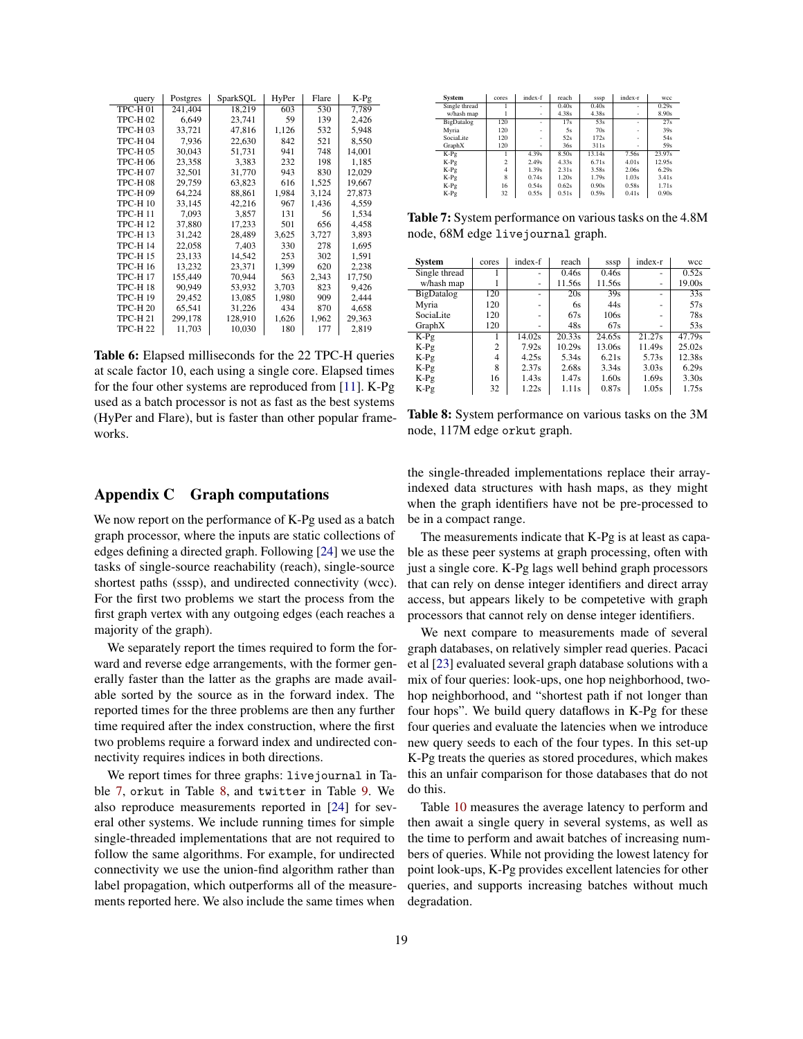<span id="page-18-0"></span>

| query          | Postgres | SparkSQL | HyPer | Flare | K-Pg   |
|----------------|----------|----------|-------|-------|--------|
| TPC-H01        | 241,404  | 18,219   | 603   | 530   | 7,789  |
| <b>TPC-H02</b> | 6,649    | 23,741   | 59    | 139   | 2,426  |
| <b>TPC-H03</b> | 33.721   | 47.816   | 1,126 | 532   | 5,948  |
| <b>TPC-H04</b> | 7,936    | 22,630   | 842   | 521   | 8,550  |
| <b>TPC-H05</b> | 30,043   | 51,731   | 941   | 748   | 14.001 |
| TPC-H 06       | 23,358   | 3,383    | 232   | 198   | 1,185  |
| <b>TPC-H07</b> | 32.501   | 31,770   | 943   | 830   | 12,029 |
| <b>TPC-H08</b> | 29,759   | 63,823   | 616   | 1,525 | 19,667 |
| <b>TPC-H09</b> | 64,224   | 88,861   | 1,984 | 3,124 | 27,873 |
| TPC-H 10       | 33,145   | 42,216   | 967   | 1,436 | 4,559  |
| <b>TPC-H11</b> | 7,093    | 3,857    | 131   | 56    | 1,534  |
| <b>TPC-H12</b> | 37,880   | 17,233   | 501   | 656   | 4,458  |
| <b>TPC-H13</b> | 31,242   | 28,489   | 3,625 | 3,727 | 3,893  |
| <b>TPC-H14</b> | 22,058   | 7,403    | 330   | 278   | 1,695  |
| <b>TPC-H15</b> | 23,133   | 14,542   | 253   | 302   | 1,591  |
| <b>TPC-H16</b> | 13,232   | 23,371   | 1,399 | 620   | 2,238  |
| <b>TPC-H17</b> | 155,449  | 70,944   | 563   | 2,343 | 17,750 |
| <b>TPC-H18</b> | 90,949   | 53,932   | 3,703 | 823   | 9,426  |
| <b>TPC-H19</b> | 29,452   | 13,085   | 1,980 | 909   | 2,444  |
| TPC-H 20       | 65,541   | 31,226   | 434   | 870   | 4,658  |
| TPC-H 21       | 299,178  | 128,910  | 1,626 | 1,962 | 29,363 |
| TPC-H 22       | 11,703   | 10,030   | 180   | 177   | 2,819  |

Table 6: Elapsed milliseconds for the 22 TPC-H queries at scale factor 10, each using a single core. Elapsed times for the four other systems are reproduced from [\[11\]](#page-14-7). K-Pg used as a batch processor is not as fast as the best systems (HyPer and Flare), but is faster than other popular frameworks.

# Appendix C Graph computations

We now report on the performance of K-Pg used as a batch graph processor, where the inputs are static collections of edges defining a directed graph. Following [\[24\]](#page-15-3) we use the tasks of single-source reachability (reach), single-source shortest paths (sssp), and undirected connectivity (wcc). For the first two problems we start the process from the first graph vertex with any outgoing edges (each reaches a majority of the graph).

We separately report the times required to form the forward and reverse edge arrangements, with the former generally faster than the latter as the graphs are made available sorted by the source as in the forward index. The reported times for the three problems are then any further time required after the index construction, where the first two problems require a forward index and undirected connectivity requires indices in both directions.

We report times for three graphs: livejournal in Table [7,](#page-18-1) orkut in Table [8,](#page-18-2) and twitter in Table [9.](#page-19-0) We also reproduce measurements reported in [\[24\]](#page-15-3) for several other systems. We include running times for simple single-threaded implementations that are not required to follow the same algorithms. For example, for undirected connectivity we use the union-find algorithm rather than label propagation, which outperforms all of the measurements reported here. We also include the same times when

<span id="page-18-1"></span>

| System        | cores                    | index-f | reach | sssp   | index-r | wcc    |
|---------------|--------------------------|---------|-------|--------|---------|--------|
| Single thread |                          | ÷       | 0.40s | 0.40s  | ٠       | 0.29s  |
| w/hash map    |                          | ٠       | 4.38s | 4.38s  | ٠       | 8.90s  |
| BigDatalog    | 120                      | ٠       | 17s   | 53s    | ٠       | 27s    |
| Myria         | 120                      | ٠       | 5s    | 70s    | ٠       | 39s    |
| Social ite    | 120                      | ٠       | 52s   | 172s   | ٠       | 54s    |
| GraphX        | 120                      | ٠       | 36s   | 311s   | ٠       | 59s    |
| K-Pg          |                          | 4.39s   | 8.50s | 13.14s | 7.56s   | 23.97s |
| K-Pg          | $\overline{\mathcal{L}}$ | 2.49s   | 4.33s | 6.71s  | 4.01s   | 12.95s |
| K-Pg          | 4                        | 1.39s   | 2.31s | 3.58s  | 2.06s   | 6.29s  |
| K-Pg          | 8                        | 0.74s   | 1.20s | 1.79s  | 1.03s   | 3.41s  |
| K-Pg          | 16                       | 0.54s   | 0.62s | 0.90s  | 0.58s   | 1.71s  |
| K-Pg          | 32                       | 0.55s   | 0.51s | 0.59s  | 0.41s   | 0.90s  |

Table 7: System performance on various tasks on the 4.8M node, 68M edge livejournal graph.

<span id="page-18-2"></span>

| <b>System</b>     | cores          | index-f | reach  | sssp   | index-r | wcc    |
|-------------------|----------------|---------|--------|--------|---------|--------|
| Single thread     |                | ٠       | 0.46s  | 0.46s  | ٠       | 0.52s  |
| w/hash map        |                | ٠       | 11.56s | 11.56s | ٠       | 19.00s |
| BigDatalog        | 120            | ۰       | 20s    | 39s    | ۰       | 33s    |
| Myria             | 120            | ٠       | 6s     | 44s    | ٠       | 57s    |
| Social <i>ite</i> | 120            | ٠       | 67s    | 106s   | ٠       | 78s    |
| GraphX            | 120            | ۰       | 48s    | 67s    | ۰       | 53s    |
| K-Pg              |                | 14.02s  | 20.33s | 24.65s | 21.27s  | 47.79s |
| K-Pg              | $\overline{c}$ | 7.92s   | 10.29s | 13.06s | 11.49s  | 25.02s |
| K-Pg              | 4              | 4.25s   | 5.34s  | 6.21s  | 5.73s   | 12.38s |
| K-Pg              | 8              | 2.37s   | 2.68s  | 3.34s  | 3.03s   | 6.29s  |
| K-Pg              | 16             | 1.43s   | 1.47s  | 1.60s  | 1.69s   | 3.30s  |
| K-Pg              | 32             | 1.22s   | 1.11s  | 0.87s  | 1.05s   | 1.75s  |

Table 8: System performance on various tasks on the 3M node, 117M edge orkut graph.

the single-threaded implementations replace their arrayindexed data structures with hash maps, as they might when the graph identifiers have not be pre-processed to be in a compact range.

The measurements indicate that K-Pg is at least as capable as these peer systems at graph processing, often with just a single core. K-Pg lags well behind graph processors that can rely on dense integer identifiers and direct array access, but appears likely to be competetive with graph processors that cannot rely on dense integer identifiers.

We next compare to measurements made of several graph databases, on relatively simpler read queries. Pacaci et al [\[23\]](#page-15-9) evaluated several graph database solutions with a mix of four queries: look-ups, one hop neighborhood, twohop neighborhood, and "shortest path if not longer than four hops". We build query dataflows in K-Pg for these four queries and evaluate the latencies when we introduce new query seeds to each of the four types. In this set-up K-Pg treats the queries as stored procedures, which makes this an unfair comparison for those databases that do not do this.

<span id="page-18-3"></span>Table [10](#page-19-1) measures the average latency to perform and then await a single query in several systems, as well as the time to perform and await batches of increasing numbers of queries. While not providing the lowest latency for point look-ups, K-Pg provides excellent latencies for other queries, and supports increasing batches without much degradation.